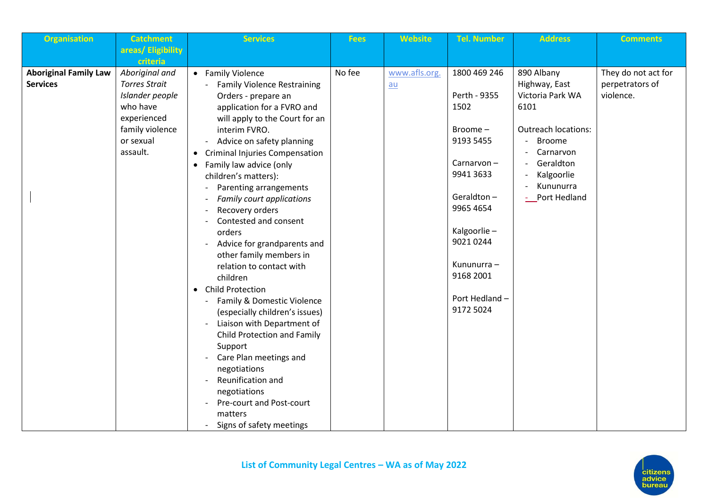| <b>Organisation</b>                             | <b>Catchment</b>                       | <b>Services</b>                                           | <b>Fees</b> | <b>Website</b> | <b>Tel. Number</b>         | <b>Address</b>                    | <b>Comments</b>              |
|-------------------------------------------------|----------------------------------------|-----------------------------------------------------------|-------------|----------------|----------------------------|-----------------------------------|------------------------------|
|                                                 | areas/Eligibility                      |                                                           |             |                |                            |                                   |                              |
|                                                 | criteria                               |                                                           |             |                |                            |                                   |                              |
| <b>Aboriginal Family Law</b><br><b>Services</b> | Aboriginal and<br><b>Torres Strait</b> | • Family Violence                                         | No fee      | www.afls.org.  | 1800 469 246               | 890 Albany                        | They do not act for          |
|                                                 | Islander people                        | <b>Family Violence Restraining</b><br>Orders - prepare an |             | $au$           | Perth - 9355               | Highway, East<br>Victoria Park WA | perpetrators of<br>violence. |
|                                                 | who have                               | application for a FVRO and                                |             |                | 1502                       | 6101                              |                              |
|                                                 | experienced                            | will apply to the Court for an                            |             |                |                            |                                   |                              |
|                                                 | family violence                        | interim FVRO.                                             |             |                | Broome-                    | <b>Outreach locations:</b>        |                              |
|                                                 | or sexual                              | Advice on safety planning                                 |             |                | 9193 5455                  | <b>Broome</b>                     |                              |
|                                                 | assault.                               | • Criminal Injuries Compensation                          |             |                |                            | Carnarvon                         |                              |
|                                                 |                                        | Family law advice (only<br>$\bullet$                      |             |                | Carnarvon-                 | Geraldton                         |                              |
|                                                 |                                        | children's matters):                                      |             |                | 9941 3633                  | Kalgoorlie                        |                              |
|                                                 |                                        | Parenting arrangements                                    |             |                | Geraldton-                 | Kununurra                         |                              |
|                                                 |                                        | Family court applications                                 |             |                | 9965 4654                  | Port Hedland                      |                              |
|                                                 |                                        | Recovery orders<br>Contested and consent                  |             |                |                            |                                   |                              |
|                                                 |                                        | orders                                                    |             |                | Kalgoorlie-                |                                   |                              |
|                                                 |                                        | Advice for grandparents and                               |             |                | 9021 0244                  |                                   |                              |
|                                                 |                                        | other family members in                                   |             |                |                            |                                   |                              |
|                                                 |                                        | relation to contact with                                  |             |                | Kununurra -                |                                   |                              |
|                                                 |                                        | children                                                  |             |                | 9168 2001                  |                                   |                              |
|                                                 |                                        | • Child Protection                                        |             |                |                            |                                   |                              |
|                                                 |                                        | Family & Domestic Violence                                |             |                | Port Hedland-<br>9172 5024 |                                   |                              |
|                                                 |                                        | (especially children's issues)                            |             |                |                            |                                   |                              |
|                                                 |                                        | Liaison with Department of<br>Child Protection and Family |             |                |                            |                                   |                              |
|                                                 |                                        | Support                                                   |             |                |                            |                                   |                              |
|                                                 |                                        | Care Plan meetings and                                    |             |                |                            |                                   |                              |
|                                                 |                                        | negotiations                                              |             |                |                            |                                   |                              |
|                                                 |                                        | Reunification and                                         |             |                |                            |                                   |                              |
|                                                 |                                        | negotiations                                              |             |                |                            |                                   |                              |
|                                                 |                                        | Pre-court and Post-court                                  |             |                |                            |                                   |                              |
|                                                 |                                        | matters                                                   |             |                |                            |                                   |                              |
|                                                 |                                        | Signs of safety meetings                                  |             |                |                            |                                   |                              |

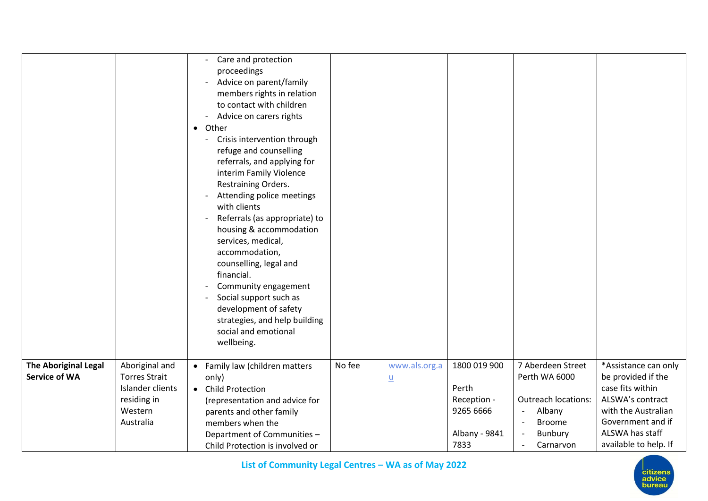|                                                     |                                                                                                   | Care and protection<br>proceedings<br>Advice on parent/family<br>members rights in relation<br>to contact with children<br>Advice on carers rights<br>• Other<br>Crisis intervention through<br>refuge and counselling<br>referrals, and applying for<br>interim Family Violence<br>Restraining Orders.<br>Attending police meetings<br>with clients<br>Referrals (as appropriate) to<br>housing & accommodation<br>services, medical,<br>accommodation,<br>counselling, legal and<br>financial.<br>Community engagement<br>Social support such as<br>development of safety<br>strategies, and help building<br>social and emotional<br>wellbeing. |        |                           |                                                                            |                                                                                                                                                                                                         |                                                                                                                                                                            |
|-----------------------------------------------------|---------------------------------------------------------------------------------------------------|----------------------------------------------------------------------------------------------------------------------------------------------------------------------------------------------------------------------------------------------------------------------------------------------------------------------------------------------------------------------------------------------------------------------------------------------------------------------------------------------------------------------------------------------------------------------------------------------------------------------------------------------------|--------|---------------------------|----------------------------------------------------------------------------|---------------------------------------------------------------------------------------------------------------------------------------------------------------------------------------------------------|----------------------------------------------------------------------------------------------------------------------------------------------------------------------------|
| <b>The Aboriginal Legal</b><br><b>Service of WA</b> | Aboriginal and<br><b>Torres Strait</b><br>Islander clients<br>residing in<br>Western<br>Australia | • Family law (children matters<br>only)<br>• Child Protection<br>(representation and advice for<br>parents and other family<br>members when the<br>Department of Communities -<br>Child Protection is involved or                                                                                                                                                                                                                                                                                                                                                                                                                                  | No fee | www.als.org.a<br><u>u</u> | 1800 019 900<br>Perth<br>Reception -<br>9265 6666<br>Albany - 9841<br>7833 | 7 Aberdeen Street<br>Perth WA 6000<br><b>Outreach locations:</b><br>Albany<br>$\overline{\phantom{a}}$<br><b>Broome</b><br>$\overline{\phantom{a}}$<br>Bunbury<br>$\overline{\phantom{a}}$<br>Carnarvon | *Assistance can only<br>be provided if the<br>case fits within<br>ALSWA's contract<br>with the Australian<br>Government and if<br>ALSWA has staff<br>available to help. If |



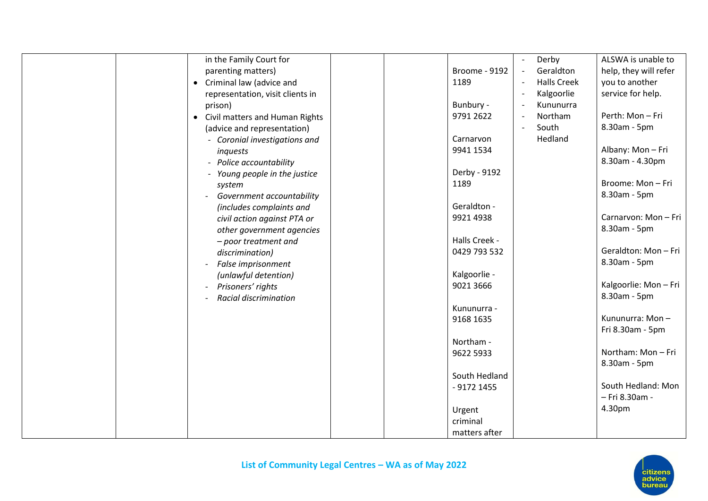| in the Family Court for                     | Derby<br>$\mathbb{L}$                                  | ALSWA is unable to    |
|---------------------------------------------|--------------------------------------------------------|-----------------------|
|                                             |                                                        |                       |
| parenting matters)                          | $\Box$<br><b>Broome - 9192</b><br>Geraldton            | help, they will refer |
| Criminal law (advice and<br>$\bullet$       | <b>Halls Creek</b><br>1189<br>$\overline{\phantom{a}}$ | you to another        |
| representation, visit clients in            | Kalgoorlie<br>$\overline{\phantom{a}}$                 | service for help.     |
| prison)                                     | Bunbury -<br>Kununurra<br>$\overline{\phantom{a}}$     |                       |
| Civil matters and Human Rights<br>$\bullet$ | 9791 2622<br>Northam<br>$\overline{\phantom{a}}$       | Perth: Mon - Fri      |
| (advice and representation)                 | South<br>$\overline{\phantom{a}}$                      | 8.30am - 5pm          |
| - Coronial investigations and               | Hedland<br>Carnarvon                                   |                       |
| inquests                                    | 9941 1534                                              | Albany: Mon-Fri       |
| - Police accountability                     |                                                        | 8.30am - 4.30pm       |
| - Young people in the justice               | Derby - 9192                                           |                       |
| system                                      | 1189                                                   | Broome: Mon-Fri       |
| Government accountability                   |                                                        | 8.30am - 5pm          |
|                                             | Geraldton -                                            |                       |
| (includes complaints and                    |                                                        | Carnarvon: Mon-Fri    |
| civil action against PTA or                 | 9921 4938                                              |                       |
| other government agencies                   |                                                        | 8.30am - 5pm          |
| - poor treatment and                        | Halls Creek -                                          |                       |
| discrimination)                             | 0429 793 532                                           | Geraldton: Mon - Fri  |
| False imprisonment                          |                                                        | 8.30am - 5pm          |
| (unlawful detention)                        | Kalgoorlie -                                           |                       |
| Prisoners' rights                           | 9021 3666                                              | Kalgoorlie: Mon-Fri   |
| Racial discrimination                       |                                                        | 8.30am - 5pm          |
|                                             | Kununurra -                                            |                       |
|                                             | 9168 1635                                              | Kununurra: Mon-       |
|                                             |                                                        | Fri 8.30am - 5pm      |
|                                             | Northam -                                              |                       |
|                                             | 9622 5933                                              | Northam: Mon-Fri      |
|                                             |                                                        | 8.30am - 5pm          |
|                                             | South Hedland                                          |                       |
|                                             | $-9172$ 1455                                           | South Hedland: Mon    |
|                                             |                                                        | - Fri 8.30am -        |
|                                             |                                                        |                       |
|                                             | Urgent                                                 | 4.30pm                |
|                                             | criminal                                               |                       |
|                                             | matters after                                          |                       |

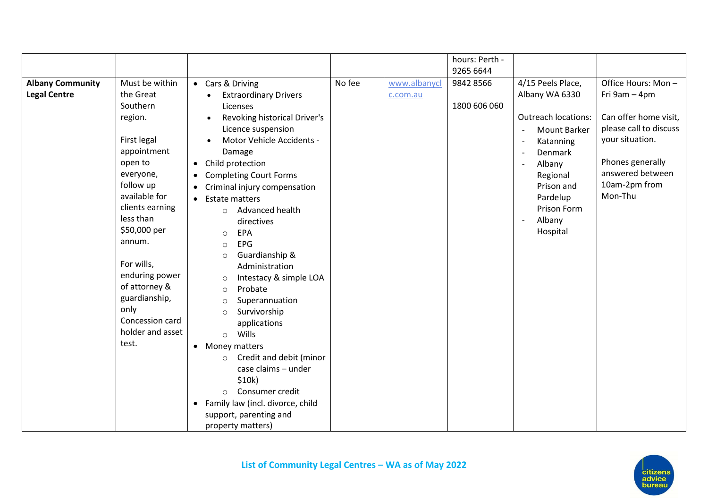| 9265 6644<br>No fee<br>Must be within<br>9842 8566<br>4/15 Peels Place,<br><b>Albany Community</b><br>• Cars & Driving<br>www.albanycl<br>the Great<br><b>Legal Centre</b><br>Albany WA 6330<br><b>Extraordinary Drivers</b><br>c.com.au<br>Southern<br>1800 606 060<br>Licenses<br><b>Outreach locations:</b><br>Revoking historical Driver's<br>region.<br>$\bullet$<br>Licence suspension<br><b>Mount Barker</b><br>First legal<br>Motor Vehicle Accidents -<br>Katanning<br>$\overline{\phantom{a}}$<br>appointment<br>Damage<br>Denmark<br>$\sim$<br>open to<br>Child protection<br>Albany<br>$\bullet$<br>$\overline{\phantom{a}}$<br>everyone,<br>Regional<br><b>Completing Court Forms</b><br>$\bullet$<br>follow up<br>Prison and<br>Criminal injury compensation<br>available for<br>Mon-Thu<br>Pardelup<br><b>Estate matters</b><br>$\bullet$<br>clients earning<br>Prison Form<br>Advanced health<br>$\circ$<br>less than<br>Albany<br>directives<br>$\overline{\phantom{a}}$<br>\$50,000 per<br>Hospital<br>EPA<br>$\circ$<br>annum.<br>EPG<br>$\circ$ |  |  | hours: Perth - |                                                                                                                                                                    |
|---------------------------------------------------------------------------------------------------------------------------------------------------------------------------------------------------------------------------------------------------------------------------------------------------------------------------------------------------------------------------------------------------------------------------------------------------------------------------------------------------------------------------------------------------------------------------------------------------------------------------------------------------------------------------------------------------------------------------------------------------------------------------------------------------------------------------------------------------------------------------------------------------------------------------------------------------------------------------------------------------------------------------------------------------------------------|--|--|----------------|--------------------------------------------------------------------------------------------------------------------------------------------------------------------|
|                                                                                                                                                                                                                                                                                                                                                                                                                                                                                                                                                                                                                                                                                                                                                                                                                                                                                                                                                                                                                                                                     |  |  |                |                                                                                                                                                                    |
| Guardianship &<br>$\circ$<br>For wills,<br>Administration<br>enduring power<br>Intestacy & simple LOA<br>$\circ$<br>of attorney &<br>Probate<br>$\circ$<br>guardianship,<br>Superannuation<br>$\circ$<br>only<br>Survivorship<br>$\Omega$<br>Concession card<br>applications<br>holder and asset<br>Wills<br>$\circ$<br>test.<br>• Money matters<br>Credit and debit (minor<br>$\circ$<br>case claims - under<br>\$10k)<br>Consumer credit<br>$\circ$<br>Family law (incl. divorce, child<br>$\bullet$<br>support, parenting and                                                                                                                                                                                                                                                                                                                                                                                                                                                                                                                                    |  |  |                | Office Hours: Mon-<br>Fri 9am - 4pm<br>Can offer home visit,<br>please call to discuss<br>your situation.<br>Phones generally<br>answered between<br>10am-2pm from |

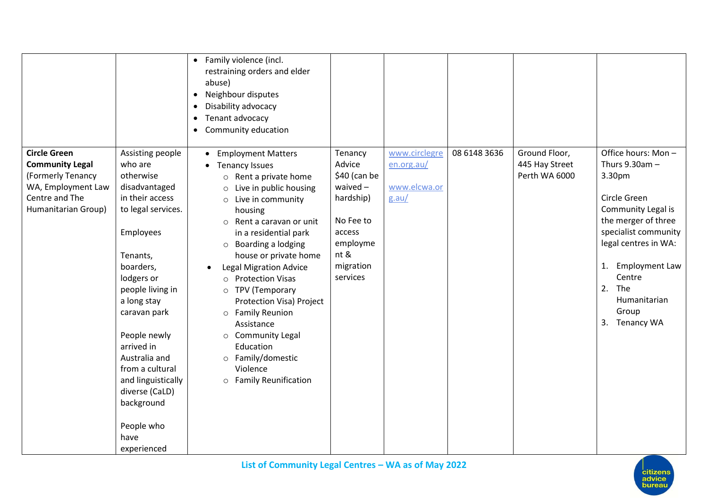|                                                                                                                                                                                                                                                                                                                                                                                                                                                                                                             | • Family violence (incl.<br>restraining orders and elder<br>abuse)<br>Neighbour disputes<br>$\bullet$<br>Disability advocacy<br>$\bullet$<br>Tenant advocacy<br>$\bullet$<br>Community education<br>$\bullet$                                                                                                                                                                                                                                                                                                     |                                                                                                                               |                                                      |              |                                                  |                                                                                                                                                                                                                                                                  |
|-------------------------------------------------------------------------------------------------------------------------------------------------------------------------------------------------------------------------------------------------------------------------------------------------------------------------------------------------------------------------------------------------------------------------------------------------------------------------------------------------------------|-------------------------------------------------------------------------------------------------------------------------------------------------------------------------------------------------------------------------------------------------------------------------------------------------------------------------------------------------------------------------------------------------------------------------------------------------------------------------------------------------------------------|-------------------------------------------------------------------------------------------------------------------------------|------------------------------------------------------|--------------|--------------------------------------------------|------------------------------------------------------------------------------------------------------------------------------------------------------------------------------------------------------------------------------------------------------------------|
| <b>Circle Green</b><br>Assisting people<br><b>Community Legal</b><br>who are<br>(Formerly Tenancy<br>otherwise<br>WA, Employment Law<br>disadvantaged<br>Centre and The<br>in their access<br>Humanitarian Group)<br>to legal services.<br>Employees<br>Tenants,<br>boarders,<br>lodgers or<br>people living in<br>a long stay<br>caravan park<br>People newly<br>arrived in<br>Australia and<br>from a cultural<br>and linguistically<br>diverse (CaLD)<br>background<br>People who<br>have<br>experienced | <b>Employment Matters</b><br>• Tenancy Issues<br>$\circ$ Rent a private home<br>Live in public housing<br>$\circ$<br>$\circ$ Live in community<br>housing<br>$\circ$ Rent a caravan or unit<br>in a residential park<br>$\circ$ Boarding a lodging<br>house or private home<br><b>Legal Migration Advice</b><br>o Protection Visas<br>o TPV (Temporary<br>Protection Visa) Project<br>o Family Reunion<br>Assistance<br>o Community Legal<br>Education<br>o Family/domestic<br>Violence<br>o Family Reunification | Tenancy<br>Advice<br>\$40 (can be<br>waived-<br>hardship)<br>No Fee to<br>access<br>employme<br>nt &<br>migration<br>services | www.circlegre<br>en.org.au/<br>www.elcwa.or<br>g.au/ | 08 6148 3636 | Ground Floor,<br>445 Hay Street<br>Perth WA 6000 | Office hours: Mon-<br>Thurs $9.30$ am $-$<br>3.30pm<br>Circle Green<br>Community Legal is<br>the merger of three<br>specialist community<br>legal centres in WA:<br><b>Employment Law</b><br>1.<br>Centre<br>2.<br>The<br>Humanitarian<br>Group<br>3. Tenancy WA |

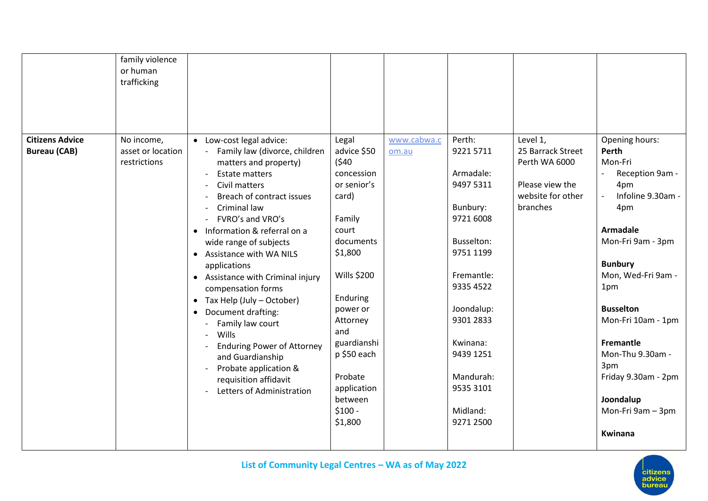| <b>Citizens Advice</b> | family violence<br>or human<br>trafficking<br>No income, | • Low-cost legal advice:                                                                                                                                                                                                                                                                                                                                                                                                                                                                                                                                                                                     | Legal                                                                                                                                                                                                                                                            | www.cabwa.c | Perth:                                                                                                                                                                                                                   | Level 1,                                                                               | Opening hours:                                                                                                                                                                                                                                                                                                             |
|------------------------|----------------------------------------------------------|--------------------------------------------------------------------------------------------------------------------------------------------------------------------------------------------------------------------------------------------------------------------------------------------------------------------------------------------------------------------------------------------------------------------------------------------------------------------------------------------------------------------------------------------------------------------------------------------------------------|------------------------------------------------------------------------------------------------------------------------------------------------------------------------------------------------------------------------------------------------------------------|-------------|--------------------------------------------------------------------------------------------------------------------------------------------------------------------------------------------------------------------------|----------------------------------------------------------------------------------------|----------------------------------------------------------------------------------------------------------------------------------------------------------------------------------------------------------------------------------------------------------------------------------------------------------------------------|
| <b>Bureau (CAB)</b>    | asset or location<br>restrictions                        | Family law (divorce, children<br>matters and property)<br><b>Estate matters</b><br>Civil matters<br>Breach of contract issues<br>Criminal law<br>FVRO's and VRO's<br>Information & referral on a<br>$\bullet$<br>wide range of subjects<br>Assistance with WA NILS<br>$\bullet$<br>applications<br>• Assistance with Criminal injury<br>compensation forms<br>Tax Help (July - October)<br>$\bullet$<br>Document drafting:<br>$\bullet$<br>Family law court<br>Wills<br><b>Enduring Power of Attorney</b><br>and Guardianship<br>Probate application &<br>requisition affidavit<br>Letters of Administration | advice \$50<br>(540)<br>concession<br>or senior's<br>card)<br>Family<br>court<br>documents<br>\$1,800<br><b>Wills \$200</b><br>Enduring<br>power or<br>Attorney<br>and<br>guardianshi<br>p \$50 each<br>Probate<br>application<br>between<br>$$100 -$<br>\$1,800 | om.au       | 92215711<br>Armadale:<br>9497 5311<br>Bunbury:<br>9721 6008<br>Busselton:<br>9751 1199<br>Fremantle:<br>9335 4522<br>Joondalup:<br>9301 2833<br>Kwinana:<br>9439 1251<br>Mandurah:<br>9535 3101<br>Midland:<br>9271 2500 | 25 Barrack Street<br>Perth WA 6000<br>Please view the<br>website for other<br>branches | Perth<br>Mon-Fri<br>Reception 9am -<br>4pm<br>Infoline 9.30am -<br>4pm<br><b>Armadale</b><br>Mon-Fri 9am - 3pm<br><b>Bunbury</b><br>Mon, Wed-Fri 9am -<br>1pm<br><b>Busselton</b><br>Mon-Fri 10am - 1pm<br>Fremantle<br>Mon-Thu 9.30am -<br>3pm<br>Friday 9.30am - 2pm<br>Joondalup<br>Mon-Fri 9am - 3pm<br><b>Kwinana</b> |

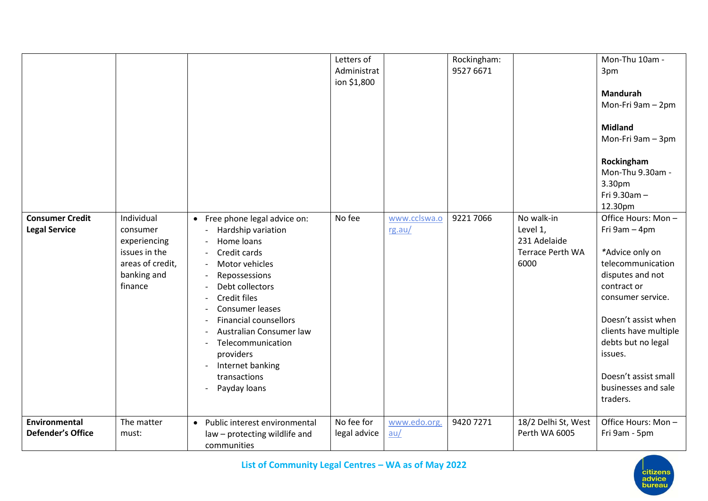|                                                |                                                                                                       |                                                                                                                                                                                                                                                                                                                             | Letters of<br>Administrat<br>ion \$1,800 |                        | Rockingham:<br>9527 6671 |                                                                           | Mon-Thu 10am -<br>3pm<br><b>Mandurah</b><br>Mon-Fri 9am - 2pm<br><b>Midland</b><br>Mon-Fri 9am - 3pm<br>Rockingham<br>Mon-Thu 9.30am -<br>3.30pm<br>Fri 9.30am -<br>12.30pm                                                                                                     |
|------------------------------------------------|-------------------------------------------------------------------------------------------------------|-----------------------------------------------------------------------------------------------------------------------------------------------------------------------------------------------------------------------------------------------------------------------------------------------------------------------------|------------------------------------------|------------------------|--------------------------|---------------------------------------------------------------------------|---------------------------------------------------------------------------------------------------------------------------------------------------------------------------------------------------------------------------------------------------------------------------------|
| <b>Consumer Credit</b><br><b>Legal Service</b> | Individual<br>consumer<br>experiencing<br>issues in the<br>areas of credit,<br>banking and<br>finance | • Free phone legal advice on:<br>Hardship variation<br>Home loans<br>Credit cards<br>Motor vehicles<br>Repossessions<br>Debt collectors<br>Credit files<br>Consumer leases<br><b>Financial counsellors</b><br>Australian Consumer law<br>Telecommunication<br>providers<br>Internet banking<br>transactions<br>Payday loans | No fee                                   | www.cclswa.o<br>rg.au/ | 9221 7066                | No walk-in<br>Level 1,<br>231 Adelaide<br><b>Terrace Perth WA</b><br>6000 | Office Hours: Mon-<br>Fri 9am - 4pm<br>*Advice only on<br>telecommunication<br>disputes and not<br>contract or<br>consumer service.<br>Doesn't assist when<br>clients have multiple<br>debts but no legal<br>issues.<br>Doesn't assist small<br>businesses and sale<br>traders. |
| Environmental<br><b>Defender's Office</b>      | The matter<br>must:                                                                                   | Public interest environmental<br>$\bullet$<br>law - protecting wildlife and<br>communities                                                                                                                                                                                                                                  | No fee for<br>legal advice               | www.edo.org.<br>au/    | 9420 7271                | 18/2 Delhi St, West<br>Perth WA 6005                                      | Office Hours: Mon-<br>Fri 9am - 5pm                                                                                                                                                                                                                                             |

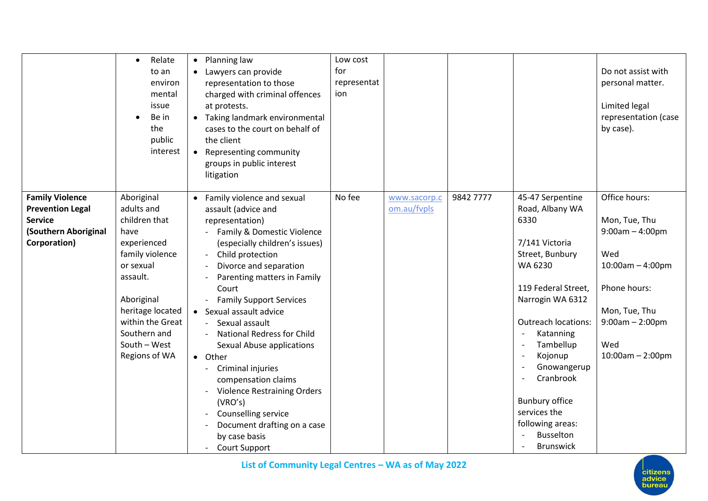|                                                                                                             | Relate<br>$\bullet$<br>to an<br>environ<br>mental<br>issue<br>Be in<br>the<br>public<br>interest                                                                                                                    | Planning law<br>$\bullet$<br>Lawyers can provide<br>representation to those<br>charged with criminal offences<br>at protests.<br>• Taking landmark environmental<br>cases to the court on behalf of<br>the client<br>Representing community<br>$\bullet$<br>groups in public interest<br>litigation                                                                                                                                                                                                                                                                                                                         | Low cost<br>for<br>representat<br>ion |                             |           |                                                                                                                                                                                                                                                                                                                                            | Do not assist with<br>personal matter.<br>Limited legal<br>representation (case<br>by case).                                                                           |
|-------------------------------------------------------------------------------------------------------------|---------------------------------------------------------------------------------------------------------------------------------------------------------------------------------------------------------------------|-----------------------------------------------------------------------------------------------------------------------------------------------------------------------------------------------------------------------------------------------------------------------------------------------------------------------------------------------------------------------------------------------------------------------------------------------------------------------------------------------------------------------------------------------------------------------------------------------------------------------------|---------------------------------------|-----------------------------|-----------|--------------------------------------------------------------------------------------------------------------------------------------------------------------------------------------------------------------------------------------------------------------------------------------------------------------------------------------------|------------------------------------------------------------------------------------------------------------------------------------------------------------------------|
| <b>Family Violence</b><br><b>Prevention Legal</b><br><b>Service</b><br>(Southern Aboriginal<br>Corporation) | Aboriginal<br>adults and<br>children that<br>have<br>experienced<br>family violence<br>or sexual<br>assault.<br>Aboriginal<br>heritage located<br>within the Great<br>Southern and<br>South - West<br>Regions of WA | Family violence and sexual<br>$\bullet$<br>assault (advice and<br>representation)<br>Family & Domestic Violence<br>(especially children's issues)<br>Child protection<br>Divorce and separation<br>Parenting matters in Family<br>Court<br><b>Family Support Services</b><br>• Sexual assault advice<br>Sexual assault<br><b>National Redress for Child</b><br>Sexual Abuse applications<br>• Other<br>Criminal injuries<br>compensation claims<br><b>Violence Restraining Orders</b><br>$\overline{\phantom{a}}$<br>(VRO's)<br>Counselling service<br>Document drafting on a case<br>by case basis<br><b>Court Support</b> | No fee                                | www.sacorp.c<br>om.au/fvpls | 9842 7777 | 45-47 Serpentine<br>Road, Albany WA<br>6330<br>7/141 Victoria<br>Street, Bunbury<br>WA 6230<br>119 Federal Street,<br>Narrogin WA 6312<br><b>Outreach locations:</b><br>Katanning<br>Tambellup<br>Kojonup<br>Gnowangerup<br>Cranbrook<br><b>Bunbury office</b><br>services the<br>following areas:<br><b>Busselton</b><br><b>Brunswick</b> | Office hours:<br>Mon, Tue, Thu<br>$9:00am - 4:00pm$<br>Wed<br>$10:00$ am $-4:00$ pm<br>Phone hours:<br>Mon, Tue, Thu<br>$9:00am - 2:00pm$<br>Wed<br>$10:00am - 2:00pm$ |

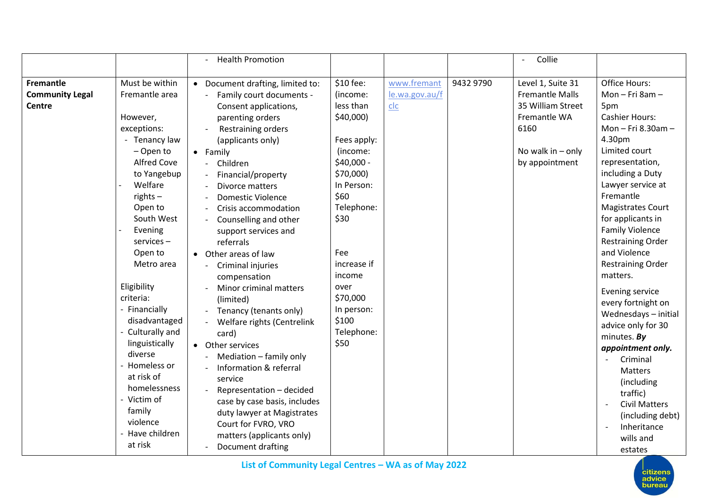|                                                             |                                                                                                                                                                                                                                                                                                                                                                                                                                                              | <b>Health Promotion</b>                                                                                                                                                                                                                                                                                                                                                                                                                                                                                                                                                                                                                                                                                                                                                                         |                                                                                                                                                                                                                                                    |                                      |           | Collie                                                                                                                            |                                                                                                                                                                                                                                                                                                                                                                                                                                                                                                                                                                                                                       |
|-------------------------------------------------------------|--------------------------------------------------------------------------------------------------------------------------------------------------------------------------------------------------------------------------------------------------------------------------------------------------------------------------------------------------------------------------------------------------------------------------------------------------------------|-------------------------------------------------------------------------------------------------------------------------------------------------------------------------------------------------------------------------------------------------------------------------------------------------------------------------------------------------------------------------------------------------------------------------------------------------------------------------------------------------------------------------------------------------------------------------------------------------------------------------------------------------------------------------------------------------------------------------------------------------------------------------------------------------|----------------------------------------------------------------------------------------------------------------------------------------------------------------------------------------------------------------------------------------------------|--------------------------------------|-----------|-----------------------------------------------------------------------------------------------------------------------------------|-----------------------------------------------------------------------------------------------------------------------------------------------------------------------------------------------------------------------------------------------------------------------------------------------------------------------------------------------------------------------------------------------------------------------------------------------------------------------------------------------------------------------------------------------------------------------------------------------------------------------|
| <b>Fremantle</b><br><b>Community Legal</b><br><b>Centre</b> | Must be within<br>Fremantle area<br>However,<br>exceptions:<br>- Tenancy law<br>- Open to<br><b>Alfred Cove</b><br>to Yangebup<br>Welfare<br>$rights -$<br>Open to<br>South West<br>Evening<br>services-<br>Open to<br>Metro area<br>Eligibility<br>criteria:<br>- Financially<br>disadvantaged<br>Culturally and<br>linguistically<br>diverse<br>Homeless or<br>at risk of<br>homelessness<br>- Victim of<br>family<br>violence<br>Have children<br>at risk | • Document drafting, limited to:<br>Family court documents -<br>Consent applications,<br>parenting orders<br>Restraining orders<br>(applicants only)<br>• Family<br>Children<br>Financial/property<br>Divorce matters<br><b>Domestic Violence</b><br>$\overline{\phantom{a}}$<br>Crisis accommodation<br>Counselling and other<br>support services and<br>referrals<br>• Other areas of law<br>Criminal injuries<br>compensation<br>Minor criminal matters<br>(limited)<br>Tenancy (tenants only)<br>Welfare rights (Centrelink<br>card)<br>• Other services<br>Mediation - family only<br>Information & referral<br>service<br>Representation - decided<br>case by case basis, includes<br>duty lawyer at Magistrates<br>Court for FVRO, VRO<br>matters (applicants only)<br>Document drafting | \$10 fee:<br>(income:<br>less than<br>\$40,000)<br>Fees apply:<br>(income:<br>\$40,000 -<br>\$70,000)<br>In Person:<br>\$60<br>Telephone:<br>\$30<br>Fee<br>increase if<br>income<br>over<br>\$70,000<br>In person:<br>\$100<br>Telephone:<br>\$50 | www.fremant<br>le.wa.gov.au/f<br>clc | 9432 9790 | Level 1, Suite 31<br><b>Fremantle Malls</b><br>35 William Street<br>Fremantle WA<br>6160<br>No walk in $-$ only<br>by appointment | Office Hours:<br>Mon-Fri 8am-<br>5pm<br><b>Cashier Hours:</b><br>Mon - Fri 8.30am -<br>4.30pm<br>Limited court<br>representation,<br>including a Duty<br>Lawyer service at<br>Fremantle<br><b>Magistrates Court</b><br>for applicants in<br><b>Family Violence</b><br><b>Restraining Order</b><br>and Violence<br><b>Restraining Order</b><br>matters.<br>Evening service<br>every fortnight on<br>Wednesdays - initial<br>advice only for 30<br>minutes. By<br>appointment only.<br>Criminal<br>Matters<br>(including<br>traffic)<br><b>Civil Matters</b><br>(including debt)<br>Inheritance<br>wills and<br>estates |

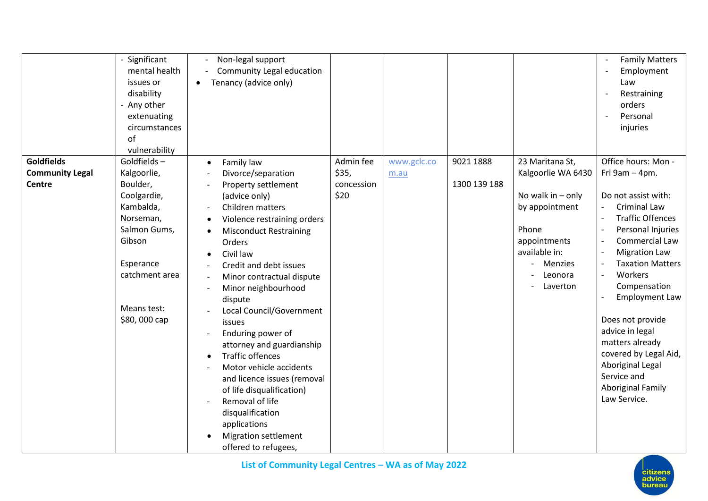|                                             | - Significant<br>mental health<br>issues or<br>disability<br>- Any other<br>extenuating<br>circumstances<br>of<br>vulnerability           | Non-legal support<br>Community Legal education<br>Tenancy (advice only)<br>$\bullet$                                                                                                                                                                                                                     |                    |                     |              |                                                                                                                   | <b>Family Matters</b><br>Employment<br>Law<br>Restraining<br>orders<br>Personal<br>injuries                                                                                                                                             |
|---------------------------------------------|-------------------------------------------------------------------------------------------------------------------------------------------|----------------------------------------------------------------------------------------------------------------------------------------------------------------------------------------------------------------------------------------------------------------------------------------------------------|--------------------|---------------------|--------------|-------------------------------------------------------------------------------------------------------------------|-----------------------------------------------------------------------------------------------------------------------------------------------------------------------------------------------------------------------------------------|
| <b>Goldfields</b><br><b>Community Legal</b> | Goldfields-<br>Kalgoorlie,                                                                                                                | Family law<br>$\bullet$<br>Divorce/separation                                                                                                                                                                                                                                                            | Admin fee<br>\$35, | www.gclc.co<br>m.au | 9021 1888    | 23 Maritana St,<br>Kalgoorlie WA 6430                                                                             | Office hours: Mon -<br>Fri 9am - 4pm.                                                                                                                                                                                                   |
| <b>Centre</b>                               | Boulder,<br>Coolgardie,<br>Kambalda,<br>Norseman,<br>Salmon Gums,<br>Gibson<br>Esperance<br>catchment area<br>Means test:<br>\$80,000 cap | Property settlement<br>(advice only)<br>Children matters<br>Violence restraining orders<br><b>Misconduct Restraining</b><br>$\bullet$<br>Orders<br>Civil law<br>$\bullet$<br>Credit and debt issues<br>Minor contractual dispute<br>Minor neighbourhood<br>dispute<br>Local Council/Government<br>issues | concession<br>\$20 |                     | 1300 139 188 | No walk in $-$ only<br>by appointment<br>Phone<br>appointments<br>available in:<br>Menzies<br>Leonora<br>Laverton | Do not assist with:<br><b>Criminal Law</b><br><b>Traffic Offences</b><br>Personal Injuries<br>Commercial Law<br><b>Migration Law</b><br><b>Taxation Matters</b><br>Workers<br>Compensation<br><b>Employment Law</b><br>Does not provide |
|                                             |                                                                                                                                           | Enduring power of<br>attorney and guardianship<br><b>Traffic offences</b><br>$\bullet$<br>Motor vehicle accidents<br>and licence issues (removal<br>of life disqualification)<br>Removal of life<br>disqualification<br>applications<br><b>Migration settlement</b><br>offered to refugees,              |                    |                     |              |                                                                                                                   | advice in legal<br>matters already<br>covered by Legal Aid,<br>Aboriginal Legal<br>Service and<br><b>Aboriginal Family</b><br>Law Service.                                                                                              |

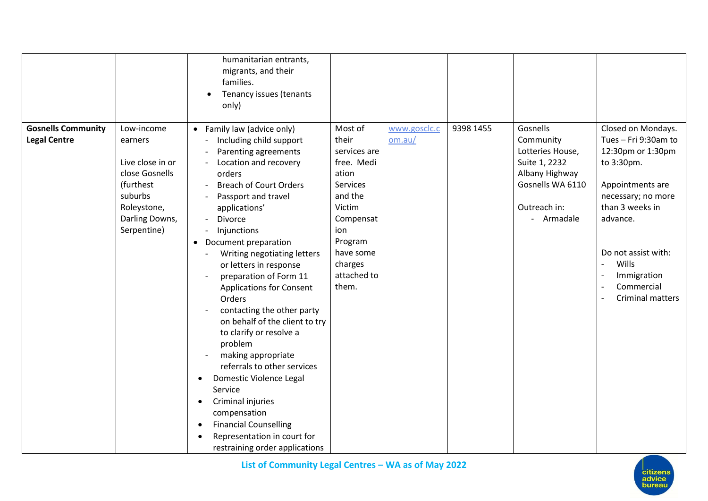|                                                  |                                                                                                                                     | humanitarian entrants,<br>migrants, and their<br>families.<br>Tenancy issues (tenants<br>only)                                                                                                                                                                                                                                                                                                                                                                                                                                                                                                                                                                                                                                  |                                                                                                                                                                         |                        |           |                                                                                                                                |                                                                                                                                                                                                                                         |
|--------------------------------------------------|-------------------------------------------------------------------------------------------------------------------------------------|---------------------------------------------------------------------------------------------------------------------------------------------------------------------------------------------------------------------------------------------------------------------------------------------------------------------------------------------------------------------------------------------------------------------------------------------------------------------------------------------------------------------------------------------------------------------------------------------------------------------------------------------------------------------------------------------------------------------------------|-------------------------------------------------------------------------------------------------------------------------------------------------------------------------|------------------------|-----------|--------------------------------------------------------------------------------------------------------------------------------|-----------------------------------------------------------------------------------------------------------------------------------------------------------------------------------------------------------------------------------------|
| <b>Gosnells Community</b><br><b>Legal Centre</b> | Low-income<br>earners<br>Live close in or<br>close Gosnells<br>(furthest<br>suburbs<br>Roleystone,<br>Darling Downs,<br>Serpentine) | • Family law (advice only)<br>Including child support<br>Parenting agreements<br>Location and recovery<br>orders<br><b>Breach of Court Orders</b><br>Passport and travel<br>applications'<br>Divorce<br>Injunctions<br>Document preparation<br>$\bullet$<br>Writing negotiating letters<br>or letters in response<br>preparation of Form 11<br><b>Applications for Consent</b><br>Orders<br>contacting the other party<br>on behalf of the client to try<br>to clarify or resolve a<br>problem<br>making appropriate<br>referrals to other services<br>Domestic Violence Legal<br>Service<br>Criminal injuries<br>compensation<br><b>Financial Counselling</b><br>Representation in court for<br>restraining order applications | Most of<br>their<br>services are<br>free. Medi<br>ation<br>Services<br>and the<br>Victim<br>Compensat<br>ion<br>Program<br>have some<br>charges<br>attached to<br>them. | www.gosclc.c<br>om.au/ | 9398 1455 | Gosnells<br>Community<br>Lotteries House,<br>Suite 1, 2232<br>Albany Highway<br>Gosnells WA 6110<br>Outreach in:<br>- Armadale | Closed on Mondays.<br>Tues - Fri 9:30am to<br>12:30pm or 1:30pm<br>to 3:30pm.<br>Appointments are<br>necessary; no more<br>than 3 weeks in<br>advance.<br>Do not assist with:<br>Wills<br>Immigration<br>Commercial<br>Criminal matters |



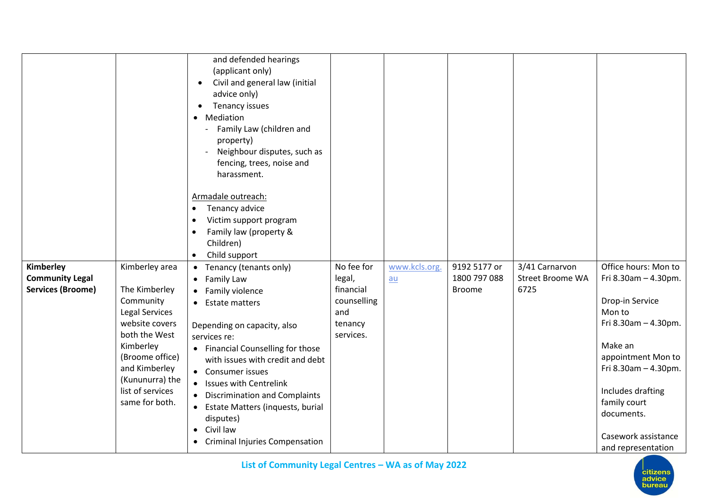|                          |                             | and defended hearings<br>(applicant only)          |                |               |               |                         |                            |
|--------------------------|-----------------------------|----------------------------------------------------|----------------|---------------|---------------|-------------------------|----------------------------|
|                          |                             | Civil and general law (initial<br>$\bullet$        |                |               |               |                         |                            |
|                          |                             | advice only)                                       |                |               |               |                         |                            |
|                          |                             | Tenancy issues                                     |                |               |               |                         |                            |
|                          |                             | • Mediation                                        |                |               |               |                         |                            |
|                          |                             | Family Law (children and                           |                |               |               |                         |                            |
|                          |                             | property)                                          |                |               |               |                         |                            |
|                          |                             | Neighbour disputes, such as                        |                |               |               |                         |                            |
|                          |                             | fencing, trees, noise and                          |                |               |               |                         |                            |
|                          |                             | harassment.                                        |                |               |               |                         |                            |
|                          |                             | Armadale outreach:                                 |                |               |               |                         |                            |
|                          |                             | Tenancy advice<br>$\bullet$                        |                |               |               |                         |                            |
|                          |                             | Victim support program<br>$\bullet$                |                |               |               |                         |                            |
|                          |                             | Family law (property &<br>$\bullet$                |                |               |               |                         |                            |
|                          |                             | Children)                                          |                |               |               |                         |                            |
|                          |                             | Child support<br>$\bullet$                         |                |               |               |                         |                            |
| Kimberley                | Kimberley area              | Tenancy (tenants only)<br>$\bullet$                | No fee for     | www.kcls.org. | 9192 5177 or  | 3/41 Carnarvon          | Office hours: Mon to       |
| <b>Community Legal</b>   |                             | • Family Law                                       | legal,         | au            | 1800 797 088  | <b>Street Broome WA</b> | Fri 8.30am - 4.30pm.       |
| <b>Services (Broome)</b> | The Kimberley               | Family violence<br>$\bullet$                       | financial      |               | <b>Broome</b> | 6725                    |                            |
|                          | Community<br>Legal Services | <b>Estate matters</b><br>$\bullet$                 | counselling    |               |               |                         | Drop-in Service<br>Mon to  |
|                          | website covers              |                                                    | and<br>tenancy |               |               |                         | Fri 8.30am - 4.30pm.       |
|                          | both the West               | Depending on capacity, also<br>services re:        | services.      |               |               |                         |                            |
|                          | Kimberley                   | • Financial Counselling for those                  |                |               |               |                         | Make an                    |
|                          | (Broome office)             | with issues with credit and debt                   |                |               |               |                         | appointment Mon to         |
|                          | and Kimberley               | • Consumer issues                                  |                |               |               |                         | Fri $8.30$ am $- 4.30$ pm. |
|                          | (Kununurra) the             | <b>Issues with Centrelink</b><br>$\bullet$         |                |               |               |                         |                            |
|                          | list of services            | <b>Discrimination and Complaints</b>               |                |               |               |                         | Includes drafting          |
|                          | same for both.              | • Estate Matters (inquests, burial                 |                |               |               |                         | family court               |
|                          |                             | disputes)                                          |                |               |               |                         | documents.                 |
|                          |                             | Civil law<br>$\bullet$                             |                |               |               |                         |                            |
|                          |                             | <b>Criminal Injuries Compensation</b><br>$\bullet$ |                |               |               |                         | Casework assistance        |
|                          |                             |                                                    |                |               |               |                         | and representation         |

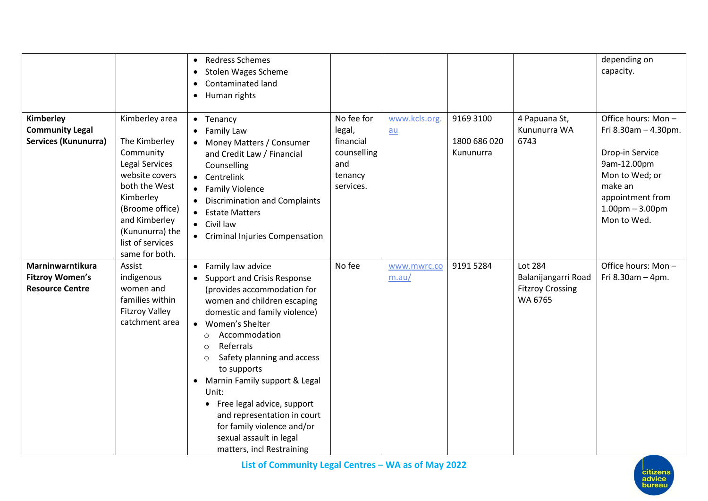|                                                                      |                                                                                                                                                                                                             | <b>Redress Schemes</b><br>$\bullet$<br><b>Stolen Wages Scheme</b><br>$\bullet$<br>Contaminated land<br>$\bullet$<br>Human rights<br>$\bullet$                                                                                                                                                                                                                                                                                                                                                                    |                                                                                 |                      |                                        |                                                                      | depending on<br>capacity.                                                                                                                                         |
|----------------------------------------------------------------------|-------------------------------------------------------------------------------------------------------------------------------------------------------------------------------------------------------------|------------------------------------------------------------------------------------------------------------------------------------------------------------------------------------------------------------------------------------------------------------------------------------------------------------------------------------------------------------------------------------------------------------------------------------------------------------------------------------------------------------------|---------------------------------------------------------------------------------|----------------------|----------------------------------------|----------------------------------------------------------------------|-------------------------------------------------------------------------------------------------------------------------------------------------------------------|
| Kimberley<br><b>Community Legal</b><br><b>Services (Kununurra)</b>   | Kimberley area<br>The Kimberley<br>Community<br>Legal Services<br>website covers<br>both the West<br>Kimberley<br>(Broome office)<br>and Kimberley<br>(Kununurra) the<br>list of services<br>same for both. | • Tenancy<br>Family Law<br>$\bullet$<br>Money Matters / Consumer<br>and Credit Law / Financial<br>Counselling<br>Centrelink<br>$\bullet$<br><b>Family Violence</b><br>$\bullet$<br><b>Discrimination and Complaints</b><br><b>Estate Matters</b><br>$\bullet$<br>Civil law<br>$\bullet$<br><b>Criminal Injuries Compensation</b><br>$\bullet$                                                                                                                                                                    | No fee for<br>legal,<br>financial<br>counselling<br>and<br>tenancy<br>services. | www.kcls.org.<br>au  | 9169 3100<br>1800 686 020<br>Kununurra | 4 Papuana St,<br>Kununurra WA<br>6743                                | Office hours: Mon-<br>Fri 8.30am - 4.30pm.<br>Drop-in Service<br>9am-12.00pm<br>Mon to Wed; or<br>make an<br>appointment from<br>$1.00pm - 3.00pm$<br>Mon to Wed. |
| Marninwarntikura<br><b>Fitzroy Women's</b><br><b>Resource Centre</b> | Assist<br>indigenous<br>women and<br>families within<br><b>Fitzroy Valley</b><br>catchment area                                                                                                             | Family law advice<br>$\bullet$<br><b>Support and Crisis Response</b><br>(provides accommodation for<br>women and children escaping<br>domestic and family violence)<br>• Women's Shelter<br>Accommodation<br>$\circ$<br>Referrals<br>$\circ$<br>Safety planning and access<br>$\circ$<br>to supports<br>Marnin Family support & Legal<br>$\bullet$<br>Unit:<br>• Free legal advice, support<br>and representation in court<br>for family violence and/or<br>sexual assault in legal<br>matters, incl Restraining | No fee                                                                          | www.mwrc.co<br>m.au/ | 9191 5284                              | Lot 284<br>Balanijangarri Road<br><b>Fitzroy Crossing</b><br>WA 6765 | Office hours: Mon-<br>Fri 8.30am - 4pm.                                                                                                                           |

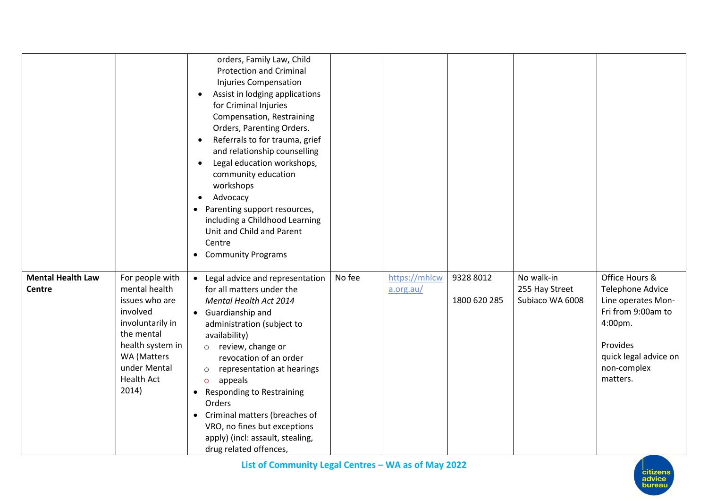|                                    |                                                                                                                                                                                   | orders, Family Law, Child<br><b>Protection and Criminal</b><br><b>Injuries Compensation</b><br>Assist in lodging applications<br>$\bullet$<br>for Criminal Injuries<br>Compensation, Restraining<br>Orders, Parenting Orders.<br>Referrals to for trauma, grief<br>$\bullet$<br>and relationship counselling<br>Legal education workshops,<br>$\bullet$<br>community education<br>workshops<br>Advocacy<br>$\bullet$<br>Parenting support resources,<br>$\bullet$<br>including a Childhood Learning<br>Unit and Child and Parent<br>Centre<br>• Community Programs |        |                            |                           |                                                 |                                                                                                                                                           |
|------------------------------------|-----------------------------------------------------------------------------------------------------------------------------------------------------------------------------------|--------------------------------------------------------------------------------------------------------------------------------------------------------------------------------------------------------------------------------------------------------------------------------------------------------------------------------------------------------------------------------------------------------------------------------------------------------------------------------------------------------------------------------------------------------------------|--------|----------------------------|---------------------------|-------------------------------------------------|-----------------------------------------------------------------------------------------------------------------------------------------------------------|
| <b>Mental Health Law</b><br>Centre | For people with<br>mental health<br>issues who are<br>involved<br>involuntarily in<br>the mental<br>health system in<br>WA (Matters<br>under Mental<br><b>Health Act</b><br>2014) | Legal advice and representation<br>$\bullet$<br>for all matters under the<br>Mental Health Act 2014<br>• Guardianship and<br>administration (subject to<br>availability)<br>review, change or<br>$\circ$<br>revocation of an order<br>representation at hearings<br>$\circ$<br>appeals<br>$\circ$<br>Responding to Restraining<br>$\bullet$<br>Orders<br>Criminal matters (breaches of<br>$\bullet$<br>VRO, no fines but exceptions<br>apply) (incl: assault, stealing,<br>drug related offences,                                                                  | No fee | https://mhlcw<br>a.org.au/ | 9328 8012<br>1800 620 285 | No walk-in<br>255 Hay Street<br>Subiaco WA 6008 | Office Hours &<br>Telephone Advice<br>Line operates Mon-<br>Fri from 9:00am to<br>4:00pm.<br>Provides<br>quick legal advice on<br>non-complex<br>matters. |

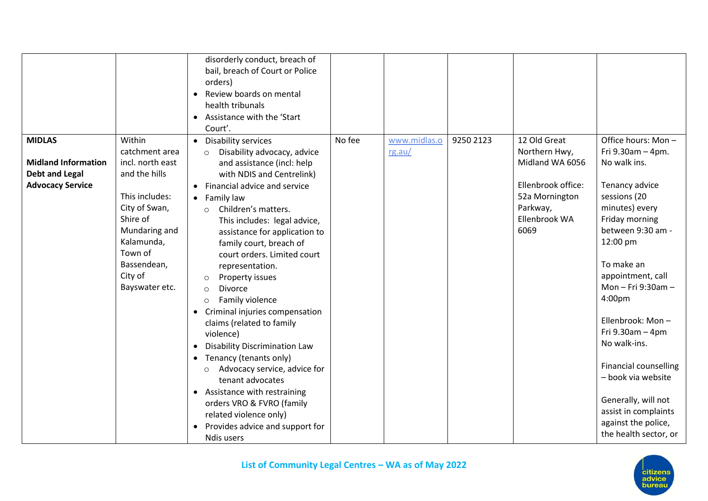|                                                     |                                   | disorderly conduct, breach of<br>bail, breach of Court or Police<br>orders)<br>Review boards on mental<br>$\bullet$<br>health tribunals<br>Assistance with the 'Start<br>$\bullet$<br>Court'. |        |              |           |                    |                                  |
|-----------------------------------------------------|-----------------------------------|-----------------------------------------------------------------------------------------------------------------------------------------------------------------------------------------------|--------|--------------|-----------|--------------------|----------------------------------|
| <b>MIDLAS</b>                                       | Within                            | • Disability services                                                                                                                                                                         | No fee | www.midlas.o | 9250 2123 | 12 Old Great       | Office hours: Mon-               |
|                                                     | catchment area                    | Disability advocacy, advice<br>$\Omega$                                                                                                                                                       |        | rg.au/       |           | Northern Hwy,      | Fri $9.30$ am $-4$ pm.           |
| <b>Midland Information</b><br><b>Debt and Legal</b> | incl. north east<br>and the hills | and assistance (incl: help<br>with NDIS and Centrelink)                                                                                                                                       |        |              |           | Midland WA 6056    | No walk ins.                     |
| <b>Advocacy Service</b>                             |                                   | Financial advice and service<br>$\bullet$                                                                                                                                                     |        |              |           | Ellenbrook office: | Tenancy advice                   |
|                                                     | This includes:                    | • Family law                                                                                                                                                                                  |        |              |           | 52a Mornington     | sessions (20                     |
|                                                     | City of Swan,                     | Children's matters.<br>$\bigcirc$                                                                                                                                                             |        |              |           | Parkway,           | minutes) every                   |
|                                                     | Shire of                          | This includes: legal advice,                                                                                                                                                                  |        |              |           | Ellenbrook WA      | Friday morning                   |
|                                                     | Mundaring and                     | assistance for application to                                                                                                                                                                 |        |              |           | 6069               | between 9:30 am -                |
|                                                     | Kalamunda,<br>Town of             | family court, breach of                                                                                                                                                                       |        |              |           |                    | 12:00 pm                         |
|                                                     | Bassendean,                       | court orders. Limited court<br>representation.                                                                                                                                                |        |              |           |                    | To make an                       |
|                                                     | City of                           | Property issues<br>$\circ$                                                                                                                                                                    |        |              |           |                    | appointment, call                |
|                                                     | Bayswater etc.                    | <b>Divorce</b><br>$\Omega$                                                                                                                                                                    |        |              |           |                    | Mon-Fri 9:30am-                  |
|                                                     |                                   | Family violence<br>$\circ$                                                                                                                                                                    |        |              |           |                    | 4:00pm                           |
|                                                     |                                   | Criminal injuries compensation<br>$\bullet$                                                                                                                                                   |        |              |           |                    |                                  |
|                                                     |                                   | claims (related to family                                                                                                                                                                     |        |              |           |                    | Ellenbrook: Mon-                 |
|                                                     |                                   | violence)                                                                                                                                                                                     |        |              |           |                    | Fri 9.30am - 4pm<br>No walk-ins. |
|                                                     |                                   | <b>Disability Discrimination Law</b><br>$\bullet$                                                                                                                                             |        |              |           |                    |                                  |
|                                                     |                                   | Tenancy (tenants only)<br>$\bullet$                                                                                                                                                           |        |              |           |                    | <b>Financial counselling</b>     |
|                                                     |                                   | Advocacy service, advice for<br>$\circ$<br>tenant advocates                                                                                                                                   |        |              |           |                    | - book via website               |
|                                                     |                                   | Assistance with restraining<br>$\bullet$                                                                                                                                                      |        |              |           |                    |                                  |
|                                                     |                                   | orders VRO & FVRO (family                                                                                                                                                                     |        |              |           |                    | Generally, will not              |
|                                                     |                                   | related violence only)                                                                                                                                                                        |        |              |           |                    | assist in complaints             |
|                                                     |                                   | Provides advice and support for<br>$\bullet$                                                                                                                                                  |        |              |           |                    | against the police,              |
|                                                     |                                   | Ndis users                                                                                                                                                                                    |        |              |           |                    | the health sector, or            |

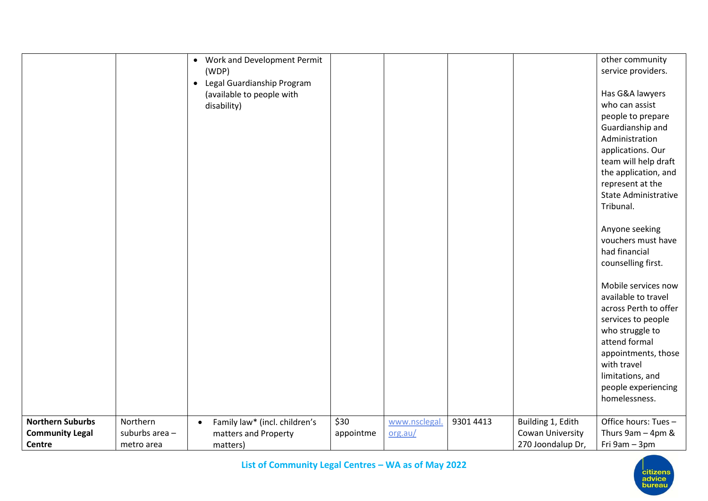|                                                             |                                          | Work and Development Permit<br>$\bullet$<br>(WDP)<br>Legal Guardianship Program<br>$\bullet$<br>(available to people with<br>disability) |                   |                          |           |                                                            | other community<br>service providers.<br>Has G&A lawyers<br>who can assist<br>people to prepare                                                                                                                                 |
|-------------------------------------------------------------|------------------------------------------|------------------------------------------------------------------------------------------------------------------------------------------|-------------------|--------------------------|-----------|------------------------------------------------------------|---------------------------------------------------------------------------------------------------------------------------------------------------------------------------------------------------------------------------------|
|                                                             |                                          |                                                                                                                                          |                   |                          |           |                                                            | Guardianship and<br>Administration<br>applications. Our<br>team will help draft<br>the application, and<br>represent at the<br><b>State Administrative</b><br>Tribunal.                                                         |
|                                                             |                                          |                                                                                                                                          |                   |                          |           |                                                            | Anyone seeking<br>vouchers must have<br>had financial<br>counselling first.                                                                                                                                                     |
|                                                             |                                          |                                                                                                                                          |                   |                          |           |                                                            | Mobile services now<br>available to travel<br>across Perth to offer<br>services to people<br>who struggle to<br>attend formal<br>appointments, those<br>with travel<br>limitations, and<br>people experiencing<br>homelessness. |
| <b>Northern Suburbs</b><br><b>Community Legal</b><br>Centre | Northern<br>suburbs area -<br>metro area | Family law* (incl. children's<br>$\bullet$<br>matters and Property<br>matters)                                                           | \$30<br>appointme | www.nsclegal.<br>org.au/ | 9301 4413 | Building 1, Edith<br>Cowan University<br>270 Joondalup Dr, | Office hours: Tues -<br>Thurs $9am - 4pm$ &<br>Fri 9am - 3pm                                                                                                                                                                    |

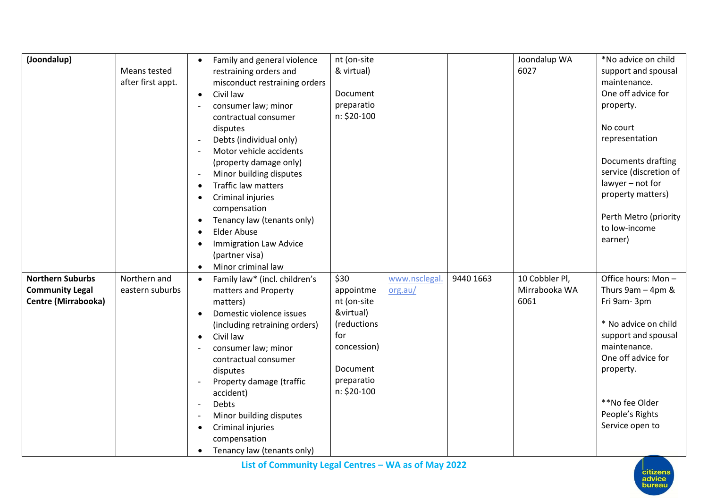| & virtual)<br>6027<br>Means tested<br>support and spousal<br>restraining orders and<br>after first appt.<br>maintenance.<br>misconduct restraining orders<br>One off advice for<br>Document<br>Civil law<br>$\bullet$<br>preparatio<br>consumer law; minor<br>property.<br>n: \$20-100<br>contractual consumer<br>No court<br>disputes<br>Debts (individual only)<br>representation<br>Motor vehicle accidents<br>Documents drafting<br>(property damage only)<br>service (discretion of<br>Minor building disputes<br>lawyer - not for<br>Traffic law matters<br>property matters)<br>Criminal injuries<br>compensation<br>Perth Metro (priority<br>Tenancy law (tenants only)<br>to low-income<br><b>Elder Abuse</b><br>earner)<br><b>Immigration Law Advice</b><br>(partner visa)<br>Minor criminal law<br>$\bullet$<br><b>Northern Suburbs</b><br>\$30<br>9440 1663<br>10 Cobbler Pl,<br>Office hours: Mon-<br>Northern and<br>www.nsclegal<br>Family law* (incl. children's<br>$\bullet$<br>Thurs $9am - 4pm$ &<br><b>Community Legal</b><br>eastern suburbs<br>Mirrabooka WA<br>matters and Property<br>appointme<br>org.au/<br><b>Centre (Mirrabooka)</b><br>nt (on-site<br>6061<br>Fri 9am-3pm<br>matters)<br>&virtual)<br>Domestic violence issues<br>* No advice on child<br>(reductions<br>(including retraining orders)<br>for<br>support and spousal<br>Civil law<br>$\bullet$ |
|---------------------------------------------------------------------------------------------------------------------------------------------------------------------------------------------------------------------------------------------------------------------------------------------------------------------------------------------------------------------------------------------------------------------------------------------------------------------------------------------------------------------------------------------------------------------------------------------------------------------------------------------------------------------------------------------------------------------------------------------------------------------------------------------------------------------------------------------------------------------------------------------------------------------------------------------------------------------------------------------------------------------------------------------------------------------------------------------------------------------------------------------------------------------------------------------------------------------------------------------------------------------------------------------------------------------------------------------------------------------------------------------|
|                                                                                                                                                                                                                                                                                                                                                                                                                                                                                                                                                                                                                                                                                                                                                                                                                                                                                                                                                                                                                                                                                                                                                                                                                                                                                                                                                                                             |
|                                                                                                                                                                                                                                                                                                                                                                                                                                                                                                                                                                                                                                                                                                                                                                                                                                                                                                                                                                                                                                                                                                                                                                                                                                                                                                                                                                                             |
|                                                                                                                                                                                                                                                                                                                                                                                                                                                                                                                                                                                                                                                                                                                                                                                                                                                                                                                                                                                                                                                                                                                                                                                                                                                                                                                                                                                             |
|                                                                                                                                                                                                                                                                                                                                                                                                                                                                                                                                                                                                                                                                                                                                                                                                                                                                                                                                                                                                                                                                                                                                                                                                                                                                                                                                                                                             |
|                                                                                                                                                                                                                                                                                                                                                                                                                                                                                                                                                                                                                                                                                                                                                                                                                                                                                                                                                                                                                                                                                                                                                                                                                                                                                                                                                                                             |
|                                                                                                                                                                                                                                                                                                                                                                                                                                                                                                                                                                                                                                                                                                                                                                                                                                                                                                                                                                                                                                                                                                                                                                                                                                                                                                                                                                                             |
|                                                                                                                                                                                                                                                                                                                                                                                                                                                                                                                                                                                                                                                                                                                                                                                                                                                                                                                                                                                                                                                                                                                                                                                                                                                                                                                                                                                             |
|                                                                                                                                                                                                                                                                                                                                                                                                                                                                                                                                                                                                                                                                                                                                                                                                                                                                                                                                                                                                                                                                                                                                                                                                                                                                                                                                                                                             |
|                                                                                                                                                                                                                                                                                                                                                                                                                                                                                                                                                                                                                                                                                                                                                                                                                                                                                                                                                                                                                                                                                                                                                                                                                                                                                                                                                                                             |
|                                                                                                                                                                                                                                                                                                                                                                                                                                                                                                                                                                                                                                                                                                                                                                                                                                                                                                                                                                                                                                                                                                                                                                                                                                                                                                                                                                                             |
|                                                                                                                                                                                                                                                                                                                                                                                                                                                                                                                                                                                                                                                                                                                                                                                                                                                                                                                                                                                                                                                                                                                                                                                                                                                                                                                                                                                             |
|                                                                                                                                                                                                                                                                                                                                                                                                                                                                                                                                                                                                                                                                                                                                                                                                                                                                                                                                                                                                                                                                                                                                                                                                                                                                                                                                                                                             |
|                                                                                                                                                                                                                                                                                                                                                                                                                                                                                                                                                                                                                                                                                                                                                                                                                                                                                                                                                                                                                                                                                                                                                                                                                                                                                                                                                                                             |
|                                                                                                                                                                                                                                                                                                                                                                                                                                                                                                                                                                                                                                                                                                                                                                                                                                                                                                                                                                                                                                                                                                                                                                                                                                                                                                                                                                                             |
|                                                                                                                                                                                                                                                                                                                                                                                                                                                                                                                                                                                                                                                                                                                                                                                                                                                                                                                                                                                                                                                                                                                                                                                                                                                                                                                                                                                             |
|                                                                                                                                                                                                                                                                                                                                                                                                                                                                                                                                                                                                                                                                                                                                                                                                                                                                                                                                                                                                                                                                                                                                                                                                                                                                                                                                                                                             |
|                                                                                                                                                                                                                                                                                                                                                                                                                                                                                                                                                                                                                                                                                                                                                                                                                                                                                                                                                                                                                                                                                                                                                                                                                                                                                                                                                                                             |
|                                                                                                                                                                                                                                                                                                                                                                                                                                                                                                                                                                                                                                                                                                                                                                                                                                                                                                                                                                                                                                                                                                                                                                                                                                                                                                                                                                                             |
|                                                                                                                                                                                                                                                                                                                                                                                                                                                                                                                                                                                                                                                                                                                                                                                                                                                                                                                                                                                                                                                                                                                                                                                                                                                                                                                                                                                             |
|                                                                                                                                                                                                                                                                                                                                                                                                                                                                                                                                                                                                                                                                                                                                                                                                                                                                                                                                                                                                                                                                                                                                                                                                                                                                                                                                                                                             |
|                                                                                                                                                                                                                                                                                                                                                                                                                                                                                                                                                                                                                                                                                                                                                                                                                                                                                                                                                                                                                                                                                                                                                                                                                                                                                                                                                                                             |
|                                                                                                                                                                                                                                                                                                                                                                                                                                                                                                                                                                                                                                                                                                                                                                                                                                                                                                                                                                                                                                                                                                                                                                                                                                                                                                                                                                                             |
|                                                                                                                                                                                                                                                                                                                                                                                                                                                                                                                                                                                                                                                                                                                                                                                                                                                                                                                                                                                                                                                                                                                                                                                                                                                                                                                                                                                             |
|                                                                                                                                                                                                                                                                                                                                                                                                                                                                                                                                                                                                                                                                                                                                                                                                                                                                                                                                                                                                                                                                                                                                                                                                                                                                                                                                                                                             |
| maintenance.<br>concession)<br>consumer law; minor<br>One off advice for                                                                                                                                                                                                                                                                                                                                                                                                                                                                                                                                                                                                                                                                                                                                                                                                                                                                                                                                                                                                                                                                                                                                                                                                                                                                                                                    |
| contractual consumer<br>Document<br>property.                                                                                                                                                                                                                                                                                                                                                                                                                                                                                                                                                                                                                                                                                                                                                                                                                                                                                                                                                                                                                                                                                                                                                                                                                                                                                                                                               |
| disputes<br>preparatio                                                                                                                                                                                                                                                                                                                                                                                                                                                                                                                                                                                                                                                                                                                                                                                                                                                                                                                                                                                                                                                                                                                                                                                                                                                                                                                                                                      |
| Property damage (traffic<br>n: \$20-100<br>accident)                                                                                                                                                                                                                                                                                                                                                                                                                                                                                                                                                                                                                                                                                                                                                                                                                                                                                                                                                                                                                                                                                                                                                                                                                                                                                                                                        |
| **No fee Older<br>Debts                                                                                                                                                                                                                                                                                                                                                                                                                                                                                                                                                                                                                                                                                                                                                                                                                                                                                                                                                                                                                                                                                                                                                                                                                                                                                                                                                                     |
| People's Rights<br>Minor building disputes                                                                                                                                                                                                                                                                                                                                                                                                                                                                                                                                                                                                                                                                                                                                                                                                                                                                                                                                                                                                                                                                                                                                                                                                                                                                                                                                                  |
| Service open to<br>Criminal injuries                                                                                                                                                                                                                                                                                                                                                                                                                                                                                                                                                                                                                                                                                                                                                                                                                                                                                                                                                                                                                                                                                                                                                                                                                                                                                                                                                        |
| compensation                                                                                                                                                                                                                                                                                                                                                                                                                                                                                                                                                                                                                                                                                                                                                                                                                                                                                                                                                                                                                                                                                                                                                                                                                                                                                                                                                                                |
| Tenancy law (tenants only)                                                                                                                                                                                                                                                                                                                                                                                                                                                                                                                                                                                                                                                                                                                                                                                                                                                                                                                                                                                                                                                                                                                                                                                                                                                                                                                                                                  |

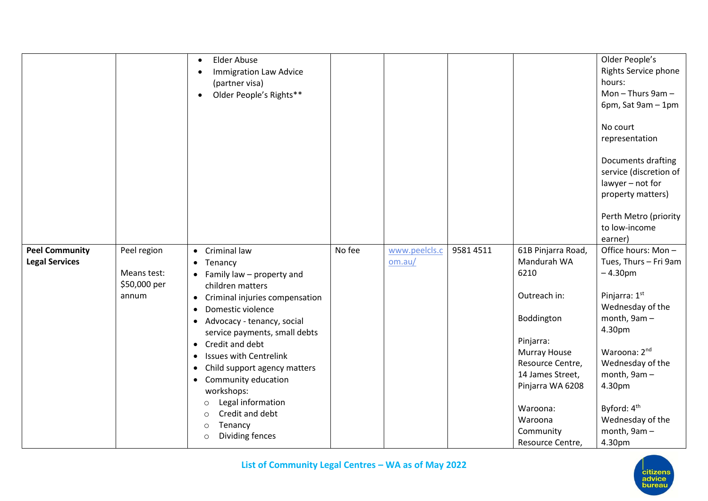|                       |              | <b>Elder Abuse</b>                          |        |               |           |                     | Older People's                               |
|-----------------------|--------------|---------------------------------------------|--------|---------------|-----------|---------------------|----------------------------------------------|
|                       |              | <b>Immigration Law Advice</b>               |        |               |           |                     | <b>Rights Service phone</b>                  |
|                       |              | (partner visa)                              |        |               |           |                     | hours:                                       |
|                       |              | Older People's Rights**<br>$\bullet$        |        |               |           |                     | Mon $-$ Thurs 9am $-$                        |
|                       |              |                                             |        |               |           |                     | 6pm, Sat 9am - 1pm                           |
|                       |              |                                             |        |               |           |                     | No court<br>representation                   |
|                       |              |                                             |        |               |           |                     | Documents drafting<br>service (discretion of |
|                       |              |                                             |        |               |           |                     | lawyer - not for                             |
|                       |              |                                             |        |               |           |                     | property matters)                            |
|                       |              |                                             |        |               |           |                     | Perth Metro (priority                        |
|                       |              |                                             |        |               |           |                     | to low-income                                |
|                       |              |                                             |        |               |           |                     | earner)                                      |
| <b>Peel Community</b> | Peel region  | Criminal law<br>$\bullet$                   | No fee | www.peelcls.c | 9581 4511 | 61B Pinjarra Road,  | Office hours: Mon-                           |
| <b>Legal Services</b> |              | Tenancy<br>$\bullet$                        |        | om.au/        |           | Mandurah WA         | Tues, Thurs - Fri 9am                        |
|                       | Means test:  | $\bullet$ Family law – property and         |        |               |           | 6210                | $-4.30pm$                                    |
|                       | \$50,000 per | children matters                            |        |               |           |                     |                                              |
|                       | annum        | Criminal injuries compensation<br>$\bullet$ |        |               |           | Outreach in:        | Pinjarra: 1st                                |
|                       |              | Domestic violence<br>$\bullet$              |        |               |           |                     | Wednesday of the                             |
|                       |              | Advocacy - tenancy, social<br>$\bullet$     |        |               |           | Boddington          | month, 9am-                                  |
|                       |              | service payments, small debts               |        |               |           |                     | 4.30pm                                       |
|                       |              | Credit and debt<br>$\bullet$                |        |               |           | Pinjarra:           |                                              |
|                       |              | <b>Issues with Centrelink</b><br>$\bullet$  |        |               |           | Murray House        | Waroona: 2nd                                 |
|                       |              | Child support agency matters<br>$\bullet$   |        |               |           | Resource Centre,    | Wednesday of the                             |
|                       |              | Community education<br>$\bullet$            |        |               |           | 14 James Street,    | month, 9am-                                  |
|                       |              | workshops:                                  |        |               |           | Pinjarra WA 6208    | 4.30pm                                       |
|                       |              | Legal information<br>$\circ$                |        |               |           |                     |                                              |
|                       |              | Credit and debt<br>$\circ$                  |        |               |           | Waroona:<br>Waroona | Byford: 4 <sup>th</sup>                      |
|                       |              | Tenancy<br>$\circ$                          |        |               |           |                     | Wednesday of the<br>month, 9am-              |
|                       |              | Dividing fences<br>$\circ$                  |        |               |           | Community           | 4.30pm                                       |
|                       |              |                                             |        |               |           | Resource Centre,    |                                              |

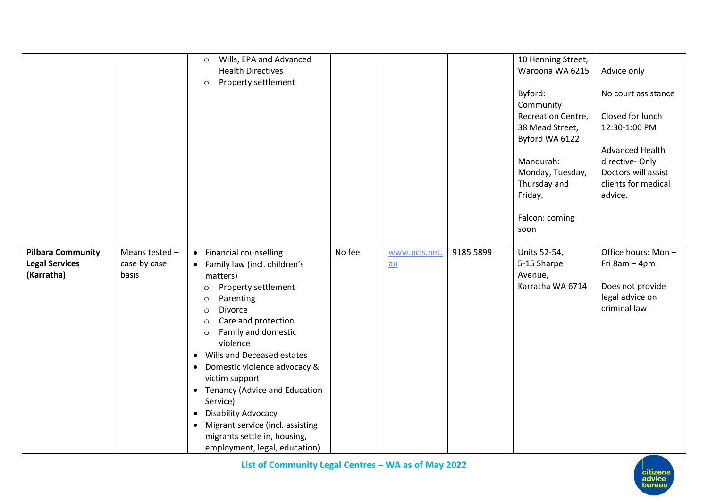|                                                                 |                                         | Wills, EPA and Advanced<br>$\circ$<br><b>Health Directives</b><br>Property settlement<br>$\circ$                                                                                                                                                                                                                                                                                                                                                                                                                               |        |                       |           | 10 Henning Street,<br>Waroona WA 6215<br>Byford:<br>Community<br>Recreation Centre,<br>38 Mead Street,<br>Byford WA 6122<br>Mandurah:<br>Monday, Tuesday,<br>Thursday and<br>Friday.<br>Falcon: coming<br>soon | Advice only<br>No court assistance<br>Closed for lunch<br>12:30-1:00 PM<br>Advanced Health<br>directive-Only<br>Doctors will assist<br>clients for medical<br>advice. |
|-----------------------------------------------------------------|-----------------------------------------|--------------------------------------------------------------------------------------------------------------------------------------------------------------------------------------------------------------------------------------------------------------------------------------------------------------------------------------------------------------------------------------------------------------------------------------------------------------------------------------------------------------------------------|--------|-----------------------|-----------|----------------------------------------------------------------------------------------------------------------------------------------------------------------------------------------------------------------|-----------------------------------------------------------------------------------------------------------------------------------------------------------------------|
| <b>Pilbara Community</b><br><b>Legal Services</b><br>(Karratha) | Means tested -<br>case by case<br>basis | • Financial counselling<br>• Family law (incl. children's<br>matters)<br>Property settlement<br>$\circ$<br>Parenting<br>$\circ$<br>Divorce<br>$\circ$<br>Care and protection<br>$\circ$<br>Family and domestic<br>$\circ$<br>violence<br>• Wills and Deceased estates<br>Domestic violence advocacy &<br>$\bullet$<br>victim support<br>• Tenancy (Advice and Education<br>Service)<br>• Disability Advocacy<br>Migrant service (incl. assisting<br>$\bullet$<br>migrants settle in, housing,<br>employment, legal, education) | No fee | www.pcls.net.<br>$au$ | 9185 5899 | Units 52-54,<br>5-15 Sharpe<br>Avenue,<br>Karratha WA 6714                                                                                                                                                     | Office hours: Mon-<br>Fri 8am - 4pm<br>Does not provide<br>legal advice on<br>criminal law                                                                            |

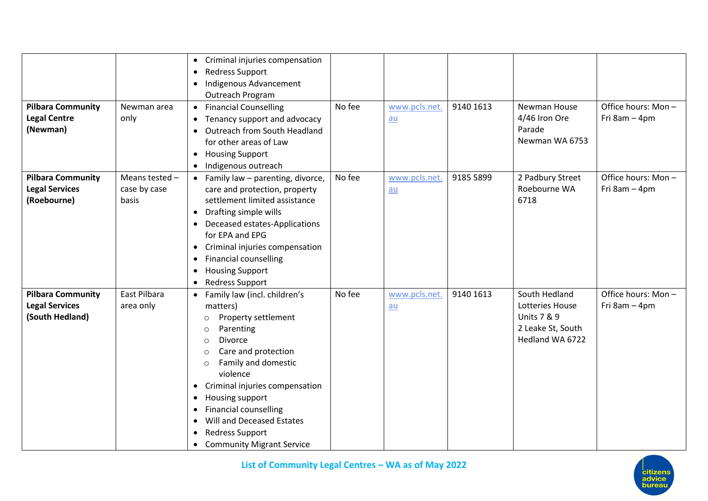| <b>Pilbara Community</b><br><b>Legal Centre</b><br>(Newman)          | Newman area<br>only                     | Criminal injuries compensation<br>$\bullet$<br><b>Redress Support</b><br>$\bullet$<br>Indigenous Advancement<br>$\bullet$<br>Outreach Program<br><b>Financial Counselling</b><br>$\bullet$<br>Tenancy support and advocacy<br>$\bullet$<br>Outreach from South Headland<br>$\bullet$<br>for other areas of Law<br><b>Housing Support</b><br>$\bullet$<br>Indigenous outreach<br>$\bullet$                                                                                           | No fee | www.pcls.net.<br>$au$ | 9140 1613 | Newman House<br>4/46 Iron Ore<br>Parade<br>Newman WA 6753                                          | Office hours: Mon-<br>Fri 8am - 4pm |
|----------------------------------------------------------------------|-----------------------------------------|-------------------------------------------------------------------------------------------------------------------------------------------------------------------------------------------------------------------------------------------------------------------------------------------------------------------------------------------------------------------------------------------------------------------------------------------------------------------------------------|--------|-----------------------|-----------|----------------------------------------------------------------------------------------------------|-------------------------------------|
| <b>Pilbara Community</b><br><b>Legal Services</b><br>(Roebourne)     | Means tested -<br>case by case<br>basis | Family law - parenting, divorce,<br>$\bullet$<br>care and protection, property<br>settlement limited assistance<br>Drafting simple wills<br>$\bullet$<br>Deceased estates-Applications<br>$\bullet$<br>for EPA and EPG<br>Criminal injuries compensation<br>$\bullet$<br><b>Financial counselling</b><br>$\bullet$<br><b>Housing Support</b><br>$\bullet$<br><b>Redress Support</b><br>$\bullet$                                                                                    | No fee | www.pcls.net.<br>$au$ | 9185 5899 | 2 Padbury Street<br>Roebourne WA<br>6718                                                           | Office hours: Mon-<br>Fri 8am - 4pm |
| <b>Pilbara Community</b><br><b>Legal Services</b><br>(South Hedland) | East Pilbara<br>area only               | Family law (incl. children's<br>$\bullet$<br>matters)<br>Property settlement<br>$\circ$<br>Parenting<br>$\circ$<br>Divorce<br>$\circ$<br>Care and protection<br>$\circ$<br>Family and domestic<br>$\circ$<br>violence<br>Criminal injuries compensation<br>$\bullet$<br>Housing support<br>$\bullet$<br><b>Financial counselling</b><br>$\bullet$<br>Will and Deceased Estates<br>$\bullet$<br><b>Redress Support</b><br>$\bullet$<br><b>Community Migrant Service</b><br>$\bullet$ | No fee | www.pcls.net.<br>$au$ | 9140 1613 | South Hedland<br>Lotteries House<br><b>Units 7 &amp; 9</b><br>2 Leake St, South<br>Hedland WA 6722 | Office hours: Mon-<br>Fri 8am - 4pm |

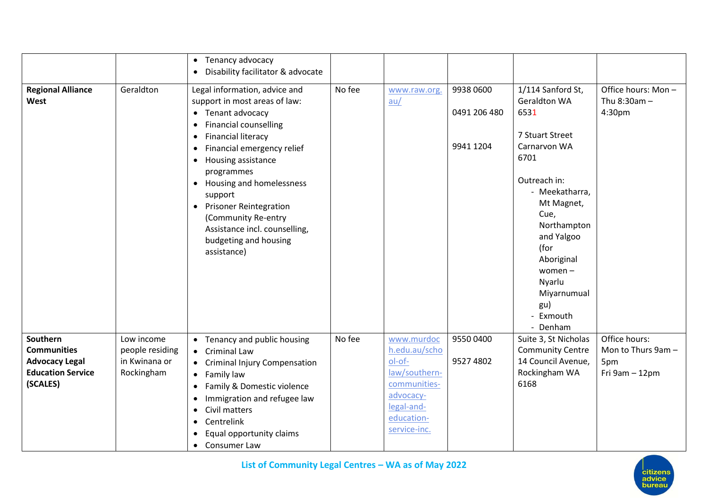|                                                                                                 |                                                              | Tenancy advocacy<br>$\bullet$<br>Disability facilitator & advocate<br>$\bullet$                                                                                                                                                                                                                                                                                                                                                                                          |        |                                                                                                                                 |                                        |                                                                                                                                                                                                                                                                              |                                                              |
|-------------------------------------------------------------------------------------------------|--------------------------------------------------------------|--------------------------------------------------------------------------------------------------------------------------------------------------------------------------------------------------------------------------------------------------------------------------------------------------------------------------------------------------------------------------------------------------------------------------------------------------------------------------|--------|---------------------------------------------------------------------------------------------------------------------------------|----------------------------------------|------------------------------------------------------------------------------------------------------------------------------------------------------------------------------------------------------------------------------------------------------------------------------|--------------------------------------------------------------|
| <b>Regional Alliance</b><br>West                                                                | Geraldton                                                    | Legal information, advice and<br>support in most areas of law:<br>• Tenant advocacy<br><b>Financial counselling</b><br>$\bullet$<br><b>Financial literacy</b><br>$\bullet$<br>Financial emergency relief<br>$\bullet$<br>Housing assistance<br>$\bullet$<br>programmes<br>Housing and homelessness<br>$\bullet$<br>support<br><b>Prisoner Reintegration</b><br>$\bullet$<br>(Community Re-entry<br>Assistance incl. counselling,<br>budgeting and housing<br>assistance) | No fee | www.raw.org.<br>au/                                                                                                             | 9938 0600<br>0491 206 480<br>9941 1204 | 1/114 Sanford St,<br><b>Geraldton WA</b><br>6531<br>7 Stuart Street<br>Carnarvon WA<br>6701<br>Outreach in:<br>- Meekatharra,<br>Mt Magnet,<br>Cue,<br>Northampton<br>and Yalgoo<br>(for<br>Aboriginal<br>women $-$<br>Nyarlu<br>Miyarnumual<br>gu)<br>- Exmouth<br>- Denham | Office hours: Mon-<br>Thu 8:30am -<br>4:30pm                 |
| Southern<br><b>Communities</b><br><b>Advocacy Legal</b><br><b>Education Service</b><br>(SCALES) | Low income<br>people residing<br>in Kwinana or<br>Rockingham | Tenancy and public housing<br>$\bullet$<br><b>Criminal Law</b><br>$\bullet$<br><b>Criminal Injury Compensation</b><br>$\bullet$<br>Family law<br>$\bullet$<br>Family & Domestic violence<br>$\bullet$<br>Immigration and refugee law<br>$\bullet$<br>Civil matters<br>$\bullet$<br>Centrelink<br>$\bullet$<br>Equal opportunity claims<br>$\bullet$<br>Consumer Law<br>$\bullet$                                                                                         | No fee | www.murdoc<br>h.edu.au/scho<br>ol-of-<br>law/southern-<br>communities-<br>advocacy-<br>legal-and-<br>education-<br>service-inc. | 9550 0400<br>9527 4802                 | Suite 3, St Nicholas<br><b>Community Centre</b><br>14 Council Avenue,<br>Rockingham WA<br>6168                                                                                                                                                                               | Office hours:<br>Mon to Thurs 9am -<br>5pm<br>Fri 9am - 12pm |

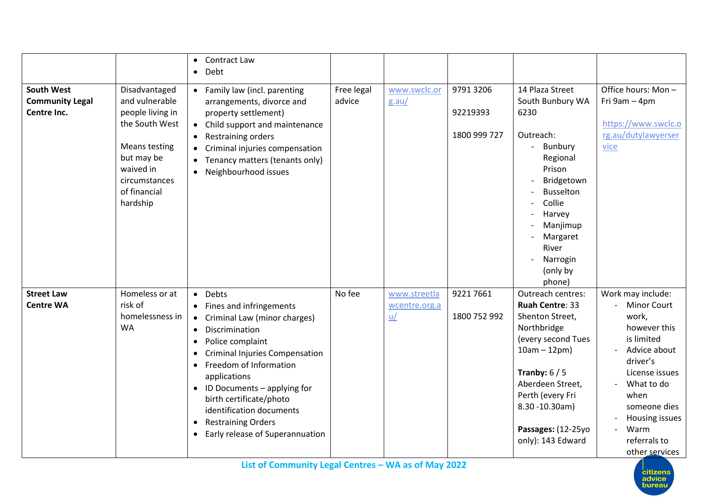|                                                            |                                                                                                                                                                       | Contract Law<br>$\bullet$<br>Debt<br>$\bullet$                                                                                                                                                                                                                                                                                                                                                                                            |                      |                                                    |                                       |                                                                                                                                                                                                                                                |                                                                                                                                                                                                                                                            |
|------------------------------------------------------------|-----------------------------------------------------------------------------------------------------------------------------------------------------------------------|-------------------------------------------------------------------------------------------------------------------------------------------------------------------------------------------------------------------------------------------------------------------------------------------------------------------------------------------------------------------------------------------------------------------------------------------|----------------------|----------------------------------------------------|---------------------------------------|------------------------------------------------------------------------------------------------------------------------------------------------------------------------------------------------------------------------------------------------|------------------------------------------------------------------------------------------------------------------------------------------------------------------------------------------------------------------------------------------------------------|
| <b>South West</b><br><b>Community Legal</b><br>Centre Inc. | Disadvantaged<br>and vulnerable<br>people living in<br>the South West<br><b>Means testing</b><br>but may be<br>waived in<br>circumstances<br>of financial<br>hardship | • Family law (incl. parenting<br>arrangements, divorce and<br>property settlement)<br>Child support and maintenance<br>$\bullet$<br>Restraining orders<br>Criminal injuries compensation<br>$\bullet$<br>Tenancy matters (tenants only)<br>$\bullet$<br>Neighbourhood issues<br>$\bullet$                                                                                                                                                 | Free legal<br>advice | www.swclc.or<br>g.au/                              | 9791 3206<br>92219393<br>1800 999 727 | 14 Plaza Street<br>South Bunbury WA<br>6230<br>Outreach:<br>Bunbury<br>$\overline{\phantom{a}}$<br>Regional<br>Prison<br>Bridgetown<br><b>Busselton</b><br>Collie<br>Harvey<br>Manjimup<br>Margaret<br>River<br>Narrogin<br>(only by<br>phone) | Office hours: Mon-<br>Fri 9am - 4pm<br>https://www.swclc.o<br>rg.au/dutylawyerser<br>vice                                                                                                                                                                  |
| <b>Street Law</b><br><b>Centre WA</b>                      | Homeless or at<br>risk of<br>homelessness in<br><b>WA</b>                                                                                                             | • Debts<br>Fines and infringements<br>Criminal Law (minor charges)<br>Discrimination<br>$\bullet$<br>Police complaint<br>$\bullet$<br><b>Criminal Injuries Compensation</b><br>$\bullet$<br>Freedom of Information<br>$\bullet$<br>applications<br>$\bullet$ ID Documents - applying for<br>birth certificate/photo<br>identification documents<br><b>Restraining Orders</b><br>$\bullet$<br>Early release of Superannuation<br>$\bullet$ | No fee               | www.streetla<br>wcentre.org.a<br><u <="" u=""></u> | 9221 7661<br>1800 752 992             | Outreach centres:<br><b>Ruah Centre: 33</b><br>Shenton Street,<br>Northbridge<br>(every second Tues<br>$10am - 12pm)$<br>Tranby: $6/5$<br>Aberdeen Street,<br>Perth (every Fri<br>8.30 -10.30am)<br>Passages: (12-25yo<br>only): 143 Edward    | Work may include:<br><b>Minor Court</b><br>work,<br>however this<br>is limited<br>Advice about<br>driver's<br>License issues<br>What to do<br>when<br>someone dies<br>Housing issues<br>Warm<br>$\overline{\phantom{a}}$<br>referrals to<br>other services |

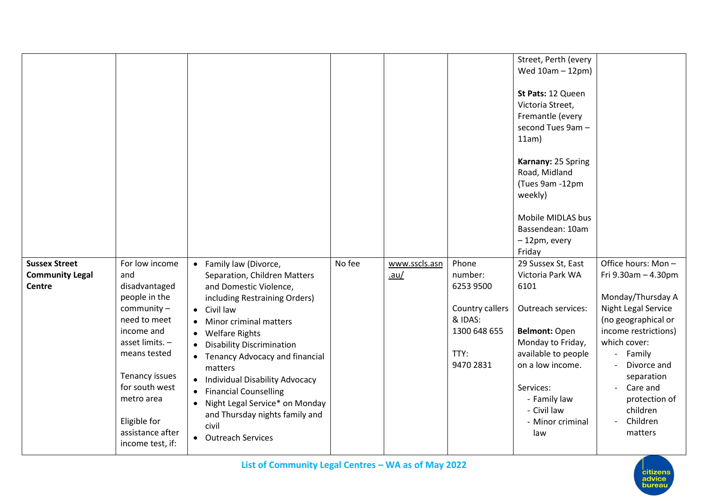|                                                                 |                                                                                                                                                                                                                                                     |                                                                                                                                                                                                                                                                                                                                                                                                                                                                                                                                            |        |                       |                                                                                                  | Street, Perth (every<br>Wed 10am - 12pm)<br>St Pats: 12 Queen<br>Victoria Street,<br>Fremantle (every<br>second Tues 9am -<br>11am)<br>Karnany: 25 Spring<br>Road, Midland<br>(Tues 9am -12pm<br>weekly)<br>Mobile MIDLAS bus<br>Bassendean: 10am<br>-12pm, every |                                                                                                                                                                                                                                                                                         |
|-----------------------------------------------------------------|-----------------------------------------------------------------------------------------------------------------------------------------------------------------------------------------------------------------------------------------------------|--------------------------------------------------------------------------------------------------------------------------------------------------------------------------------------------------------------------------------------------------------------------------------------------------------------------------------------------------------------------------------------------------------------------------------------------------------------------------------------------------------------------------------------------|--------|-----------------------|--------------------------------------------------------------------------------------------------|-------------------------------------------------------------------------------------------------------------------------------------------------------------------------------------------------------------------------------------------------------------------|-----------------------------------------------------------------------------------------------------------------------------------------------------------------------------------------------------------------------------------------------------------------------------------------|
|                                                                 |                                                                                                                                                                                                                                                     |                                                                                                                                                                                                                                                                                                                                                                                                                                                                                                                                            |        |                       |                                                                                                  | Friday                                                                                                                                                                                                                                                            |                                                                                                                                                                                                                                                                                         |
| <b>Sussex Street</b><br><b>Community Legal</b><br><b>Centre</b> | For low income<br>and<br>disadvantaged<br>people in the<br>$community -$<br>need to meet<br>income and<br>asset limits. -<br>means tested<br>Tenancy issues<br>for south west<br>metro area<br>Eligible for<br>assistance after<br>income test, if: | Family law (Divorce,<br>$\bullet$<br>Separation, Children Matters<br>and Domestic Violence,<br>including Restraining Orders)<br>• Civil law<br>Minor criminal matters<br>$\bullet$<br><b>Welfare Rights</b><br>$\bullet$<br><b>Disability Discrimination</b><br>$\bullet$<br><b>Tenancy Advocacy and financial</b><br>matters<br>Individual Disability Advocacy<br>$\bullet$<br><b>Financial Counselling</b><br>$\bullet$<br>Night Legal Service* on Monday<br>$\bullet$<br>and Thursday nights family and<br>civil<br>• Outreach Services | No fee | www.sscls.asn<br>.au/ | Phone<br>number:<br>6253 9500<br>Country callers<br>& IDAS:<br>1300 648 655<br>TTY:<br>9470 2831 | 29 Sussex St, East<br>Victoria Park WA<br>6101<br>Outreach services:<br>Belmont: Open<br>Monday to Friday,<br>available to people<br>on a low income.<br>Services:<br>- Family law<br>- Civil law<br>- Minor criminal<br>law                                      | Office hours: Mon-<br>Fri 9.30am - 4.30pm<br>Monday/Thursday A<br>Night Legal Service<br>(no geographical or<br>income restrictions)<br>which cover:<br>Family<br>Divorce and<br>separation<br>Care and<br>$\overline{\phantom{a}}$<br>protection of<br>children<br>Children<br>matters |

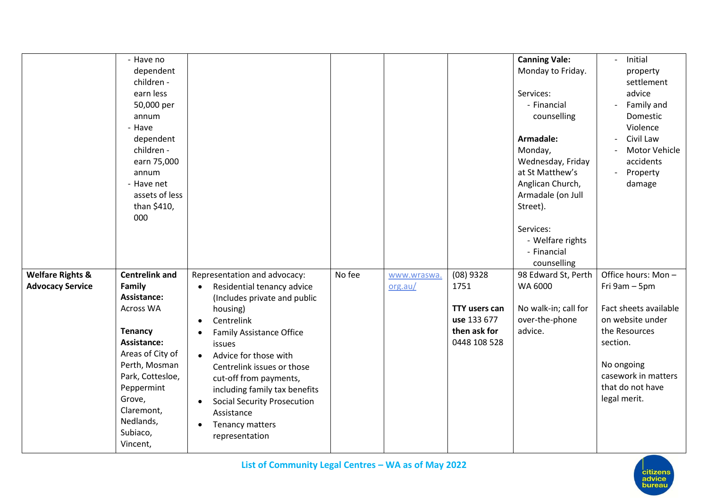|                                                        | - Have no<br>dependent<br>children -<br>earn less<br>50,000 per<br>annum<br>- Have<br>dependent<br>children -<br>earn 75,000<br>annum<br>- Have net<br>assets of less<br>than \$410,<br>000                                      |                                                                                                                                                                                                                                                                                                                                                                                                                                                            |        |                        |                                                                                            | <b>Canning Vale:</b><br>Monday to Friday.<br>Services:<br>- Financial<br>counselling<br>Armadale:<br>Monday,<br>Wednesday, Friday<br>at St Matthew's<br>Anglican Church,<br>Armadale (on Jull<br>Street).<br>Services:<br>- Welfare rights<br>- Financial<br>counselling | Initial<br>$\mathbf{r}$<br>property<br>settlement<br>advice<br>Family and<br>$\overline{\phantom{a}}$<br>Domestic<br>Violence<br>Civil Law<br>Motor Vehicle<br>accidents<br>Property<br>damage |
|--------------------------------------------------------|----------------------------------------------------------------------------------------------------------------------------------------------------------------------------------------------------------------------------------|------------------------------------------------------------------------------------------------------------------------------------------------------------------------------------------------------------------------------------------------------------------------------------------------------------------------------------------------------------------------------------------------------------------------------------------------------------|--------|------------------------|--------------------------------------------------------------------------------------------|--------------------------------------------------------------------------------------------------------------------------------------------------------------------------------------------------------------------------------------------------------------------------|------------------------------------------------------------------------------------------------------------------------------------------------------------------------------------------------|
| <b>Welfare Rights &amp;</b><br><b>Advocacy Service</b> | <b>Centrelink and</b><br>Family<br>Assistance:<br>Across WA<br><b>Tenancy</b><br>Assistance:<br>Areas of City of<br>Perth, Mosman<br>Park, Cottesloe,<br>Peppermint<br>Grove,<br>Claremont,<br>Nedlands,<br>Subiaco,<br>Vincent, | Representation and advocacy:<br>Residential tenancy advice<br>$\bullet$<br>(Includes private and public<br>housing)<br>Centrelink<br>$\bullet$<br><b>Family Assistance Office</b><br>$\bullet$<br>issues<br>Advice for those with<br>$\bullet$<br>Centrelink issues or those<br>cut-off from payments,<br>including family tax benefits<br><b>Social Security Prosecution</b><br>$\bullet$<br>Assistance<br>Tenancy matters<br>$\bullet$<br>representation | No fee | www.wraswa.<br>org.au/ | $(08)$ 9328<br>1751<br><b>TTY users can</b><br>use 133 677<br>then ask for<br>0448 108 528 | 98 Edward St, Perth<br>WA 6000<br>No walk-in; call for<br>over-the-phone<br>advice.                                                                                                                                                                                      | Office hours: Mon-<br>Fri 9am - 5pm<br>Fact sheets available<br>on website under<br>the Resources<br>section.<br>No ongoing<br>casework in matters<br>that do not have<br>legal merit.         |

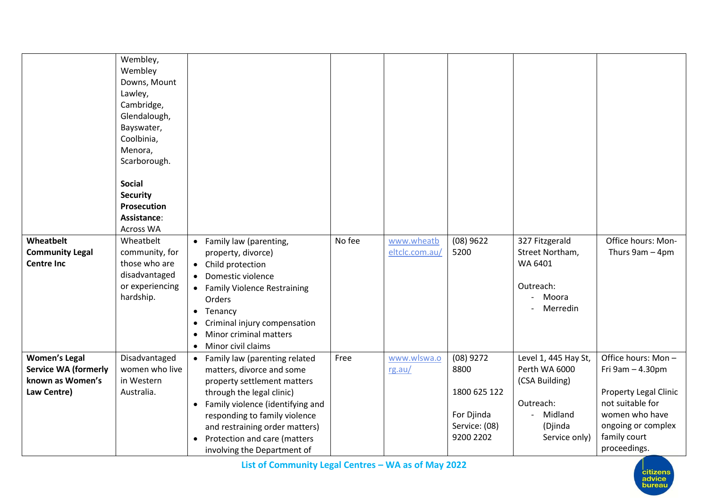|                                     | Wembley,<br>Wembley<br>Downs, Mount<br>Lawley,<br>Cambridge,<br>Glendalough,<br>Bayswater,<br>Coolbinia,<br>Menora,<br>Scarborough.<br><b>Social</b><br><b>Security</b><br><b>Prosecution</b> |                                                                                                                                                                                                              |        |                              |                                                          |                                                  |                                                                                          |
|-------------------------------------|-----------------------------------------------------------------------------------------------------------------------------------------------------------------------------------------------|--------------------------------------------------------------------------------------------------------------------------------------------------------------------------------------------------------------|--------|------------------------------|----------------------------------------------------------|--------------------------------------------------|------------------------------------------------------------------------------------------|
|                                     | Assistance:                                                                                                                                                                                   |                                                                                                                                                                                                              |        |                              |                                                          |                                                  |                                                                                          |
|                                     | <b>Across WA</b>                                                                                                                                                                              |                                                                                                                                                                                                              |        |                              |                                                          |                                                  |                                                                                          |
| Wheatbelt<br><b>Community Legal</b> | Wheatbelt<br>community, for                                                                                                                                                                   | • Family law (parenting,<br>property, divorce)                                                                                                                                                               | No fee | www.wheatb<br>eltclc.com.au/ | $(08)$ 9622<br>5200                                      | 327 Fitzgerald<br>Street Northam,                | Office hours: Mon-<br>Thurs 9am - 4pm                                                    |
| <b>Centre Inc</b>                   | those who are                                                                                                                                                                                 | • Child protection                                                                                                                                                                                           |        |                              |                                                          | WA 6401                                          |                                                                                          |
|                                     | disadvantaged                                                                                                                                                                                 | Domestic violence                                                                                                                                                                                            |        |                              |                                                          |                                                  |                                                                                          |
|                                     | or experiencing<br>hardship.                                                                                                                                                                  | <b>Family Violence Restraining</b>                                                                                                                                                                           |        |                              |                                                          | Outreach:<br>Moora                               |                                                                                          |
|                                     |                                                                                                                                                                                               | Orders                                                                                                                                                                                                       |        |                              |                                                          | Merredin                                         |                                                                                          |
|                                     |                                                                                                                                                                                               | Tenancy<br>$\bullet$<br>Criminal injury compensation                                                                                                                                                         |        |                              |                                                          |                                                  |                                                                                          |
|                                     |                                                                                                                                                                                               | Minor criminal matters                                                                                                                                                                                       |        |                              |                                                          |                                                  |                                                                                          |
|                                     |                                                                                                                                                                                               | Minor civil claims<br>$\bullet$                                                                                                                                                                              |        |                              |                                                          |                                                  |                                                                                          |
| <b>Women's Legal</b>                | Disadvantaged                                                                                                                                                                                 | Family law (parenting related<br>$\bullet$                                                                                                                                                                   | Free   | www.wlswa.o                  | $(08)$ 9272                                              | Level 1, 445 Hay St,                             | Office hours: Mon-                                                                       |
| <b>Service WA (formerly</b>         | women who live                                                                                                                                                                                | matters, divorce and some                                                                                                                                                                                    |        | rg.au/                       | 8800                                                     | Perth WA 6000                                    | Fri 9am - 4.30pm                                                                         |
| known as Women's                    | in Western                                                                                                                                                                                    | property settlement matters                                                                                                                                                                                  |        |                              |                                                          | (CSA Building)                                   |                                                                                          |
|                                     |                                                                                                                                                                                               |                                                                                                                                                                                                              |        |                              |                                                          |                                                  | Property Legal Clinic                                                                    |
|                                     |                                                                                                                                                                                               |                                                                                                                                                                                                              |        |                              |                                                          |                                                  |                                                                                          |
|                                     |                                                                                                                                                                                               |                                                                                                                                                                                                              |        |                              |                                                          |                                                  |                                                                                          |
|                                     |                                                                                                                                                                                               |                                                                                                                                                                                                              |        |                              |                                                          |                                                  |                                                                                          |
|                                     |                                                                                                                                                                                               |                                                                                                                                                                                                              |        |                              |                                                          |                                                  |                                                                                          |
| Law Centre)                         | Australia.                                                                                                                                                                                    | through the legal clinic)<br>Family violence (identifying and<br>responding to family violence<br>and restraining order matters)<br>Protection and care (matters<br>$\bullet$<br>involving the Department of |        |                              | 1800 625 122<br>For Djinda<br>Service: (08)<br>9200 2202 | Outreach:<br>Midland<br>(Djinda<br>Service only) | not suitable for<br>women who have<br>ongoing or complex<br>family court<br>proceedings. |